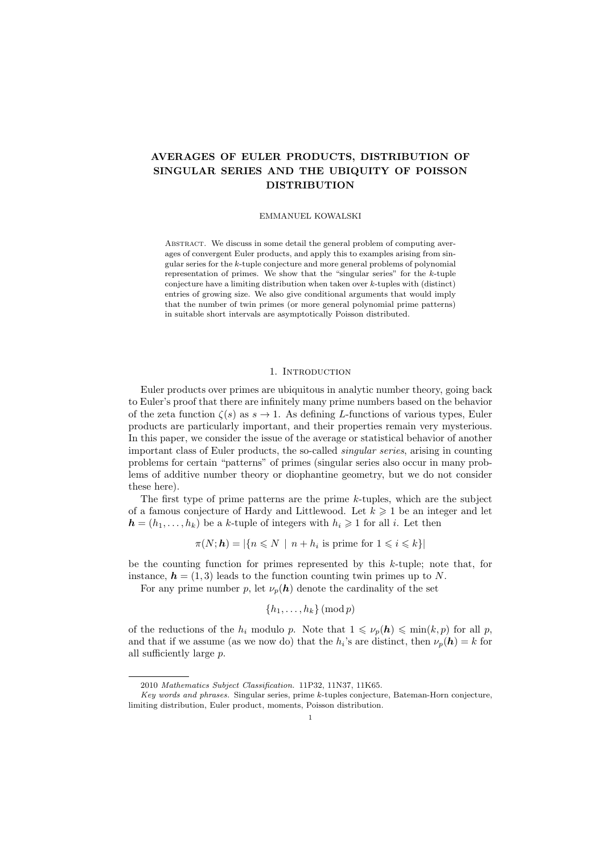# AVERAGES OF EULER PRODUCTS, DISTRIBUTION OF SINGULAR SERIES AND THE UBIQUITY OF POISSON DISTRIBUTION

# EMMANUEL KOWALSKI

ABSTRACT. We discuss in some detail the general problem of computing averages of convergent Euler products, and apply this to examples arising from singular series for the k-tuple conjecture and more general problems of polynomial representation of primes. We show that the "singular series" for the  $k$ -tuple conjecture have a limiting distribution when taken over  $k$ -tuples with (distinct) entries of growing size. We also give conditional arguments that would imply that the number of twin primes (or more general polynomial prime patterns) in suitable short intervals are asymptotically Poisson distributed.

# 1. Introduction

Euler products over primes are ubiquitous in analytic number theory, going back to Euler's proof that there are infinitely many prime numbers based on the behavior of the zeta function  $\zeta(s)$  as  $s \to 1$ . As defining L-functions of various types, Euler products are particularly important, and their properties remain very mysterious. In this paper, we consider the issue of the average or statistical behavior of another important class of Euler products, the so-called singular series, arising in counting problems for certain "patterns" of primes (singular series also occur in many problems of additive number theory or diophantine geometry, but we do not consider these here).

The first type of prime patterns are the prime  $k$ -tuples, which are the subject of a famous conjecture of Hardy and Littlewood. Let  $k \geqslant 1$  be an integer and let  $h = (h_1, \ldots, h_k)$  be a k-tuple of integers with  $h_i \geq 1$  for all i. Let then

$$
\pi(N; \mathbf{h}) = |\{ n \leq N \mid n + h_i \text{ is prime for } 1 \leq i \leq k \}|
$$

be the counting function for primes represented by this  $k$ -tuple; note that, for instance,  $h = (1, 3)$  leads to the function counting twin primes up to N.

For any prime number p, let  $\nu_p(h)$  denote the cardinality of the set

$$
\{h_1,\ldots,h_k\}\,(\mathrm{mod}\,p)
$$

of the reductions of the  $h_i$  modulo p. Note that  $1 \leq \nu_p(h) \leq \min(k, p)$  for all p, and that if we assume (as we now do) that the  $h_i$ 's are distinct, then  $\nu_p(h) = k$  for all sufficiently large p.

<sup>2010</sup> Mathematics Subject Classification. 11P32, 11N37, 11K65.

Key words and phrases. Singular series, prime k-tuples conjecture, Bateman-Horn conjecture, limiting distribution, Euler product, moments, Poisson distribution.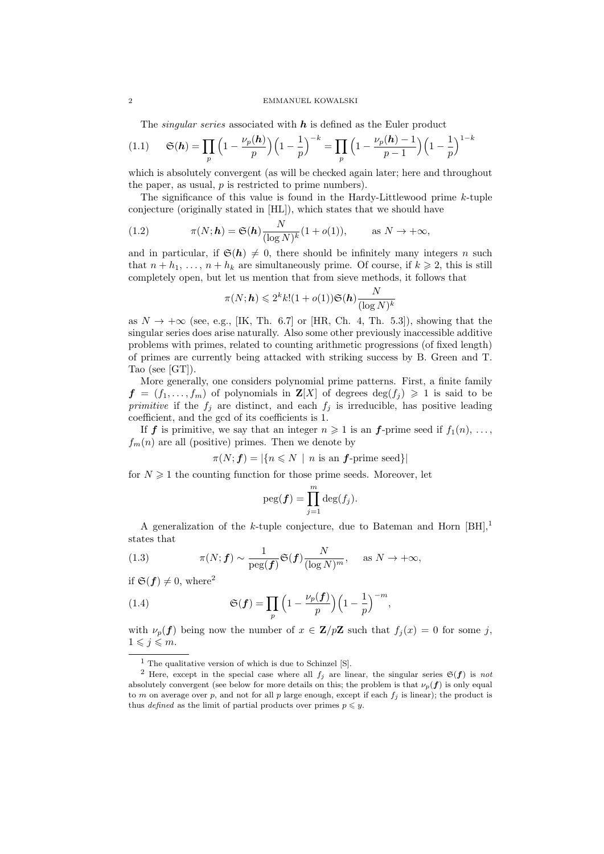#### 2 EMMANUEL KOWALSKI

The *singular series* associated with  $h$  is defined as the Euler product

(1.1) 
$$
\mathfrak{S}(\boldsymbol{h}) = \prod_{p} \left( 1 - \frac{\nu_p(\boldsymbol{h})}{p} \right) \left( 1 - \frac{1}{p} \right)^{-k} = \prod_{p} \left( 1 - \frac{\nu_p(\boldsymbol{h}) - 1}{p - 1} \right) \left( 1 - \frac{1}{p} \right)^{1 - k}
$$

which is absolutely convergent (as will be checked again later; here and throughout the paper, as usual,  $p$  is restricted to prime numbers).

The significance of this value is found in the Hardy-Littlewood prime  $k$ -tuple conjecture (originally stated in [HL]), which states that we should have

(1.2) 
$$
\pi(N; \mathbf{h}) = \mathfrak{S}(\mathbf{h}) \frac{N}{(\log N)^k} (1 + o(1)), \quad \text{as } N \to +\infty,
$$

and in particular, if  $\mathfrak{S}(h) \neq 0$ , there should be infinitely many integers n such that  $n + h_1, \ldots, n + h_k$  are simultaneously prime. Of course, if  $k \geq 2$ , this is still completely open, but let us mention that from sieve methods, it follows that

$$
\pi(N;\boldsymbol{h}) \leqslant 2^k k! (1+o(1)) \mathfrak{S}(\boldsymbol{h}) \frac{N}{(\log N)^k}
$$

as  $N \to +\infty$  (see, e.g., [IK, Th. 6.7] or [HR, Ch. 4, Th. 5.3]), showing that the singular series does arise naturally. Also some other previously inaccessible additive problems with primes, related to counting arithmetic progressions (of fixed length) of primes are currently being attacked with striking success by B. Green and T. Tao (see [GT]).

More generally, one considers polynomial prime patterns. First, a finite family  $f = (f_1, \ldots, f_m)$  of polynomials in  $\mathbf{Z}[X]$  of degrees  $\deg(f_i) \geq 1$  is said to be primitive if the  $f_j$  are distinct, and each  $f_j$  is irreducible, has positive leading coefficient, and the gcd of its coefficients is 1.

If **f** is primitive, we say that an integer  $n \geq 1$  is an **f**-prime seed if  $f_1(n), \ldots$ ,  $f_m(n)$  are all (positive) primes. Then we denote by

 $\pi(N; f) = |\{n \leq N \mid n \text{ is an } f\text{-prime seed}\}|$ 

for  $N \geq 1$  the counting function for those prime seeds. Moreover, let

$$
\mathrm{peg}(\boldsymbol{f}) = \prod_{j=1}^{m} \mathrm{deg}(f_j).
$$

A generalization of the k-tuple conjecture, due to Bateman and Horn  $[BH]$ ,<sup>1</sup> states that

(1.3) 
$$
\pi(N; f) \sim \frac{1}{\text{peg}(f)} \mathfrak{S}(f) \frac{N}{(\log N)^m}, \quad \text{as } N \to +\infty,
$$

if  $\mathfrak{S}(f) \neq 0$ , where<sup>2</sup>

(1.4) 
$$
\mathfrak{S}(\boldsymbol{f}) = \prod_{p} \left( 1 - \frac{\nu_p(\boldsymbol{f})}{p} \right) \left( 1 - \frac{1}{p} \right)^{-m},
$$

with  $\nu_p(f)$  being now the number of  $x \in \mathbf{Z}/p\mathbf{Z}$  such that  $f_i(x) = 0$  for some j,  $1 \leqslant j \leqslant m$ .

 $<sup>1</sup>$  The qualitative version of which is due to Schinzel [S].</sup>

<sup>&</sup>lt;sup>2</sup> Here, except in the special case where all  $f_j$  are linear, the singular series  $\mathfrak{S}(f)$  is not absolutely convergent (see below for more details on this; the problem is that  $\nu_p(f)$  is only equal to m on average over p, and not for all p large enough, except if each  $f_i$  is linear); the product is thus *defined* as the limit of partial products over primes  $p \leq y$ .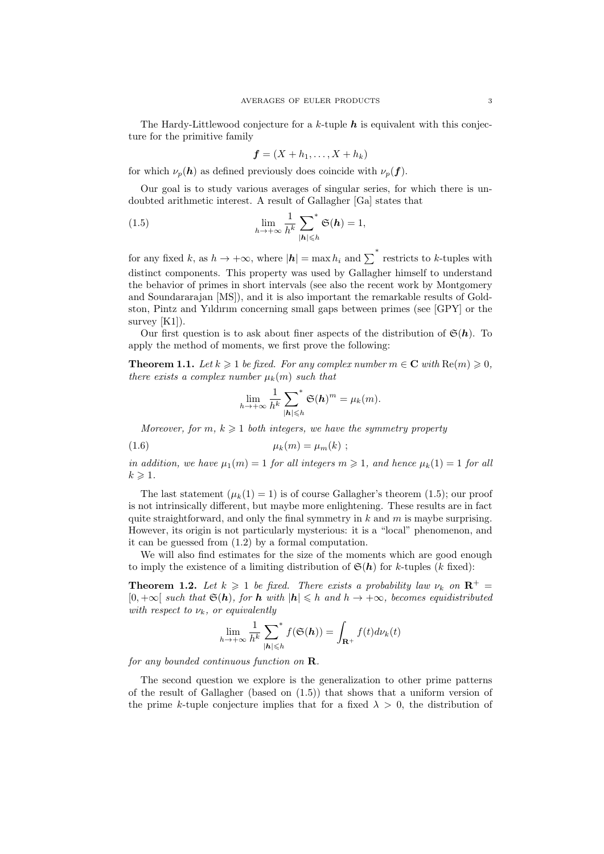The Hardy-Littlewood conjecture for a k-tuple  $h$  is equivalent with this conjecture for the primitive family

$$
\boldsymbol{f}=(X+h_1,\ldots,X+h_k)
$$

for which  $\nu_p(\boldsymbol{h})$  as defined previously does coincide with  $\nu_p(\boldsymbol{f})$ .

Our goal is to study various averages of singular series, for which there is undoubted arithmetic interest. A result of Gallagher [Ga] states that

(1.5) 
$$
\lim_{h \to +\infty} \frac{1}{h^k} \sum_{|\mathbf{h}| \leq h}^* \mathfrak{S}(\mathbf{h}) = 1,
$$

for any fixed k, as  $h \to +\infty$ , where  $|h| = \max h_i$  and  $\sum^*$  restricts to k-tuples with distinct components. This property was used by Gallagher himself to understand the behavior of primes in short intervals (see also the recent work by Montgomery and Soundararajan [MS]), and it is also important the remarkable results of Goldston, Pintz and Yıldırım concerning small gaps between primes (see [GPY] or the survey [K1]).

Our first question is to ask about finer aspects of the distribution of  $\mathfrak{S}(h)$ . To apply the method of moments, we first prove the following:

**Theorem 1.1.** Let  $k \geq 1$  be fixed. For any complex number  $m \in \mathbb{C}$  with  $\text{Re}(m) \geq 0$ , there exists a complex number  $\mu_k(m)$  such that

$$
\lim_{h \to +\infty} \frac{1}{h^k} \sum_{|\mathbf{h}| \leq h}^* \mathfrak{S}(\mathbf{h})^m = \mu_k(m).
$$

Moreover, for m,  $k \geq 1$  both integers, we have the symmetry property

$$
\mu_k(m) = \mu_m(k) ;
$$

in addition, we have  $\mu_1(m) = 1$  for all integers  $m \geq 1$ , and hence  $\mu_k(1) = 1$  for all  $k \geqslant 1$ .

The last statement  $(\mu_k(1) = 1)$  is of course Gallagher's theorem (1.5); our proof is not intrinsically different, but maybe more enlightening. These results are in fact quite straightforward, and only the final symmetry in k and m is maybe surprising. However, its origin is not particularly mysterious: it is a "local" phenomenon, and it can be guessed from (1.2) by a formal computation.

We will also find estimates for the size of the moments which are good enough to imply the existence of a limiting distribution of  $\mathfrak{S}(h)$  for k-tuples (k fixed):

**Theorem 1.2.** Let  $k \geq 1$  be fixed. There exists a probability law  $\nu_k$  on  $\mathbb{R}^+$  $[0, +\infty]$  such that  $\mathfrak{S}(h)$ , for h with  $|h| \leq h$  and  $h \to +\infty$ , becomes equidistributed with respect to  $\nu_k$ , or equivalently

$$
\lim_{h \to +\infty} \frac{1}{h^k} \sum_{|\mathbf{h}| \leq h}^* f(\mathfrak{S}(\mathbf{h})) = \int_{\mathbf{R}^+} f(t) d\nu_k(t)
$$

for any bounded continuous function on R.

The second question we explore is the generalization to other prime patterns of the result of Gallagher (based on (1.5)) that shows that a uniform version of the prime k-tuple conjecture implies that for a fixed  $\lambda > 0$ , the distribution of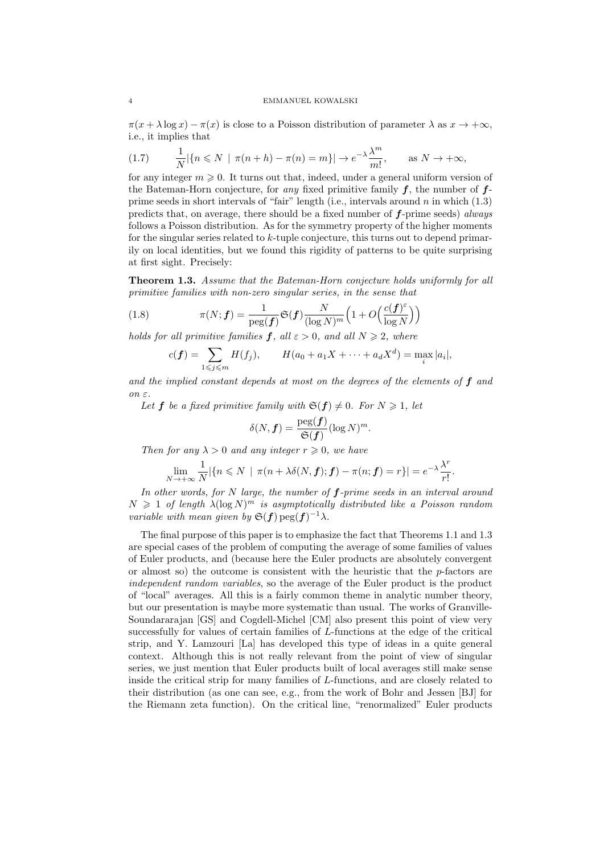#### 4 EMMANUEL KOWALSKI

 $\pi(x + \lambda \log x) - \pi(x)$  is close to a Poisson distribution of parameter  $\lambda$  as  $x \to +\infty$ , i.e., it implies that

$$
(1.7) \qquad \frac{1}{N} |\{n \le N \mid \pi(n+h) - \pi(n) = m\}| \to e^{-\lambda} \frac{\lambda^m}{m!}, \qquad \text{as } N \to +\infty,
$$

for any integer  $m \geqslant 0$ . It turns out that, indeed, under a general uniform version of the Bateman-Horn conjecture, for any fixed primitive family  $f$ , the number of  $f$ prime seeds in short intervals of "fair" length (i.e., intervals around  $n$  in which  $(1.3)$ ) predicts that, on average, there should be a fixed number of  $f$ -prime seeds) always follows a Poisson distribution. As for the symmetry property of the higher moments for the singular series related to  $k$ -tuple conjecture, this turns out to depend primarily on local identities, but we found this rigidity of patterns to be quite surprising at first sight. Precisely:

Theorem 1.3. Assume that the Bateman-Horn conjecture holds uniformly for all primitive families with non-zero singular series, in the sense that

(1.8) 
$$
\pi(N; f) = \frac{1}{\text{peg}(f)} \mathfrak{S}(f) \frac{N}{(\log N)^m} \left(1 + O\left(\frac{c(f)^{\varepsilon}}{\log N}\right)\right)
$$

holds for all primitive families  $f$ , all  $\varepsilon > 0$ , and all  $N \geq 2$ , where

$$
c(f) = \sum_{1 \leq j \leq m} H(f_j), \qquad H(a_0 + a_1 X + \dots + a_d X^d) = \max_i |a_i|,
$$

and the implied constant depends at most on the degrees of the elements of  $f$  and  $\Omega$ 

Let **f** be a fixed primitive family with  $\mathfrak{S}(\mathbf{f}) \neq 0$ . For  $N \geq 1$ , let

$$
\delta(N, \boldsymbol{f}) = \frac{\text{peg}(\boldsymbol{f})}{\mathfrak{S}(\boldsymbol{f})} (\log N)^m.
$$

Then for any  $\lambda > 0$  and any integer  $r \geq 0$ , we have

$$
\lim_{N \to +\infty} \frac{1}{N} |\{n \le N \mid \pi(n + \lambda \delta(N, \boldsymbol{f}); \boldsymbol{f}) - \pi(n; \boldsymbol{f}) = r\}| = e^{-\lambda} \frac{\lambda^r}{r!}.
$$

In other words, for  $N$  large, the number of  $f$ -prime seeds in an interval around  $N \geq 1$  of length  $\lambda(\log N)^m$  is asymptotically distributed like a Poisson random variable with mean given by  $\mathfrak{S}(\mathbf{f}) \text{pg}(\mathbf{f})^{-1} \lambda$ .

The final purpose of this paper is to emphasize the fact that Theorems 1.1 and 1.3 are special cases of the problem of computing the average of some families of values of Euler products, and (because here the Euler products are absolutely convergent or almost so) the outcome is consistent with the heuristic that the  $p$ -factors are independent random variables, so the average of the Euler product is the product of "local" averages. All this is a fairly common theme in analytic number theory, but our presentation is maybe more systematic than usual. The works of Granville-Soundararajan [GS] and Cogdell-Michel [CM] also present this point of view very successfully for values of certain families of L-functions at the edge of the critical strip, and Y. Lamzouri [La] has developed this type of ideas in a quite general context. Although this is not really relevant from the point of view of singular series, we just mention that Euler products built of local averages still make sense inside the critical strip for many families of L-functions, and are closely related to their distribution (as one can see, e.g., from the work of Bohr and Jessen [BJ] for the Riemann zeta function). On the critical line, "renormalized" Euler products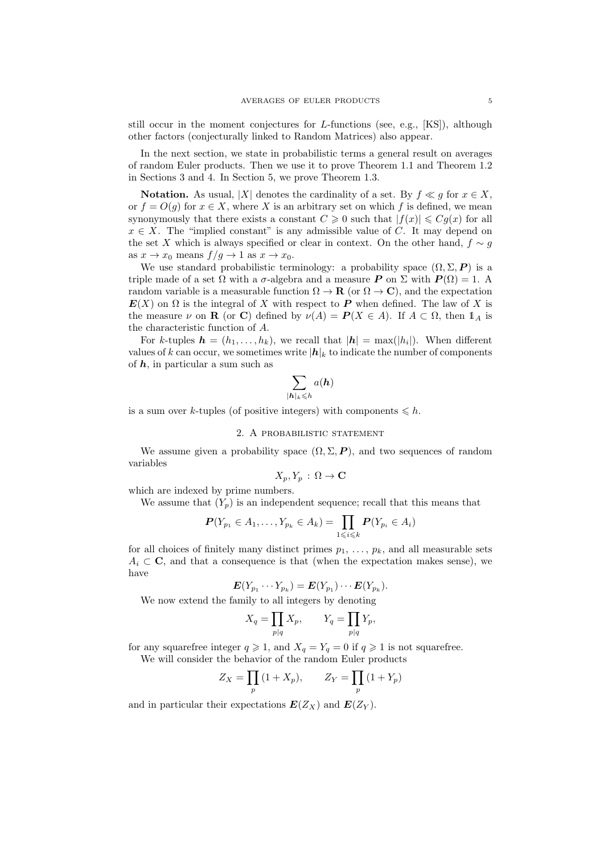still occur in the moment conjectures for  $L$ -functions (see, e.g., [KS]), although other factors (conjecturally linked to Random Matrices) also appear.

In the next section, we state in probabilistic terms a general result on averages of random Euler products. Then we use it to prove Theorem 1.1 and Theorem 1.2 in Sections 3 and 4. In Section 5, we prove Theorem 1.3.

Notation. As usual, |X| denotes the cardinality of a set. By  $f \ll g$  for  $x \in X$ , or  $f = O(g)$  for  $x \in X$ , where X is an arbitrary set on which f is defined, we mean synonymously that there exists a constant  $C \geq 0$  such that  $|f(x)| \leq Cq(x)$  for all  $x \in X$ . The "implied constant" is any admissible value of C. It may depend on the set X which is always specified or clear in context. On the other hand,  $f \sim g$ as  $x \to x_0$  means  $f/g \to 1$  as  $x \to x_0$ .

We use standard probabilistic terminology: a probability space  $(\Omega, \Sigma, P)$  is a triple made of a set  $\Omega$  with a  $\sigma$ -algebra and a measure P on  $\Sigma$  with  $P(\Omega) = 1$ . random variable is a measurable function  $\Omega \to \mathbf{R}$  (or  $\Omega \to \mathbf{C}$ ), and the expectation  $E(X)$  on  $\Omega$  is the integral of X with respect to P when defined. The law of X is the measure  $\nu$  on **R** (or **C**) defined by  $\nu(A) = P(X \in A)$ . If  $A \subset \Omega$ , then  $1_A$  is the characteristic function of A.

For k-tuples  $\mathbf{h} = (h_1, \ldots, h_k)$ , we recall that  $|\mathbf{h}| = \max(|h_i|)$ . When different values of k can occur, we sometimes write  $|h|_k$  to indicate the number of components of  $h$ , in particular a sum such as

$$
\sum_{|\boldsymbol{h}|_k\leqslant h}a(\boldsymbol{h})
$$

is a sum over k-tuples (of positive integers) with components  $\leq h$ .

# 2. A probabilistic statement

We assume given a probability space  $(\Omega, \Sigma, P)$ , and two sequences of random variables

$$
X_p, Y_p : \Omega \to \mathbf{C}
$$

which are indexed by prime numbers.

We assume that  $(Y_p)$  is an independent sequence; recall that this means that

$$
\boldsymbol{P}(Y_{p_1} \in A_1, \ldots, Y_{p_k} \in A_k) = \prod_{1 \leq i \leq k} \boldsymbol{P}(Y_{p_i} \in A_i)
$$

for all choices of finitely many distinct primes  $p_1, \ldots, p_k$ , and all measurable sets  $A_i \subset \mathbf{C}$ , and that a consequence is that (when the expectation makes sense), we have

$$
\mathbf{E}(Y_{p_1}\cdots Y_{p_k})=\mathbf{E}(Y_{p_1})\cdots\mathbf{E}(Y_{p_k}).
$$

We now extend the family to all integers by denoting

$$
X_q = \prod_{p|q} X_p, \qquad Y_q = \prod_{p|q} Y_p,
$$

for any squarefree integer  $q \geq 1$ , and  $X_q = Y_q = 0$  if  $q \geq 1$  is not squarefree. We will consider the behavior of the random Euler products

$$
Z_X = \prod_p (1 + X_p), \qquad Z_Y = \prod_p (1 + Y_p)
$$

and in particular their expectations  $E(Z_X)$  and  $E(Z_Y)$ .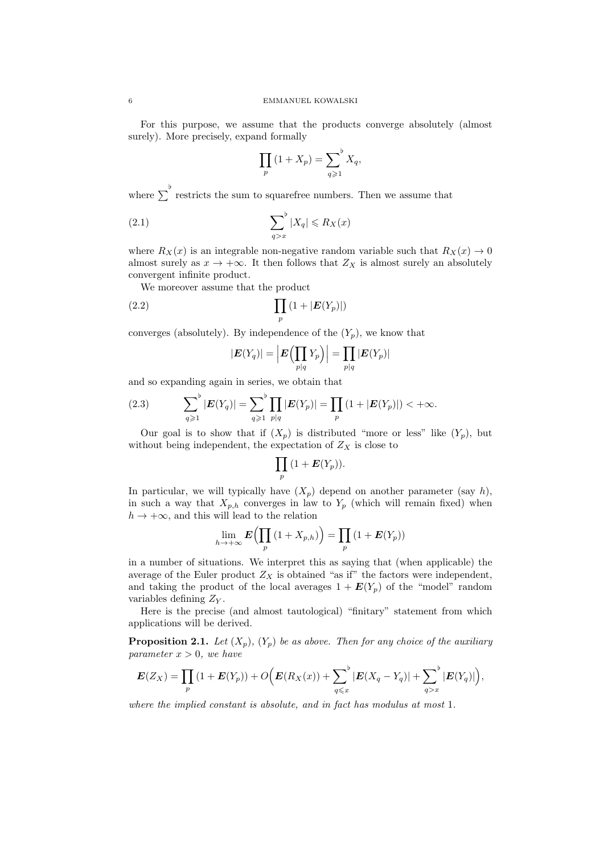For this purpose, we assume that the products converge absolutely (almost surely). More precisely, expand formally

$$
\prod_p (1 + X_p) = \sum_{q \geqslant 1}^{\flat} X_q,
$$

where  $\sum_{n=1}^{\infty}$  restricts the sum to squarefree numbers. Then we assume that

$$
\sum_{q>x}^{b} |X_q| \le R_X(x)
$$

where  $R_X(x)$  is an integrable non-negative random variable such that  $R_X(x) \to 0$ almost surely as  $x \to +\infty$ . It then follows that  $Z_X$  is almost surely an absolutely convergent infinite product.

We moreover assume that the product

$$
(2.2)\qquad \qquad \prod_p\left(1+|\boldsymbol{E}(Y_p)|\right)
$$

converges (absolutely). By independence of the  $(Y_p)$ , we know that

$$
|\boldsymbol{E}(Y_q)|=\Big|\boldsymbol{E}\Bigl(\prod_{p|q}Y_p\Bigr)\Big|=\prod_{p|q}|\boldsymbol{E}(Y_p)|
$$

and so expanding again in series, we obtain that

(2.3) 
$$
\sum_{q \geq 1}^{\flat} |E(Y_q)| = \sum_{q \geq 1}^{\flat} \prod_{p|q} |E(Y_p)| = \prod_{p} (1 + |E(Y_p)|) < +\infty.
$$

Our goal is to show that if  $(X_p)$  is distributed "more or less" like  $(Y_p)$ , but without being independent, the expectation of  $Z_X$  is close to

$$
\prod_p\big(1+\boldsymbol{E}(Y_p)\big).
$$

In particular, we will typically have  $(X_p)$  depend on another parameter (say h), in such a way that  $X_{p,h}$  converges in law to  $Y_p$  (which will remain fixed) when  $h \to +\infty$ , and this will lead to the relation

$$
\lim_{h \to +\infty} \mathbf{E}\Big(\prod_p (1 + X_{p,h})\Big) = \prod_p (1 + \mathbf{E}(Y_p))
$$

in a number of situations. We interpret this as saying that (when applicable) the average of the Euler product  $Z_X$  is obtained "as if" the factors were independent, and taking the product of the local averages  $1 + E(Y_p)$  of the "model" random variables defining  $Z_Y$ .

Here is the precise (and almost tautological) "finitary" statement from which applications will be derived.

**Proposition 2.1.** Let  $(X_p)$ ,  $(Y_p)$  be as above. Then for any choice of the auxiliary parameter  $x > 0$ , we have

$$
E(Z_X) = \prod_p (1 + E(Y_p)) + O\Big(E(R_X(x)) + \sum_{q \leq x} |E(X_q - Y_q)| + \sum_{q > x} |E(Y_q)|\Big),\,
$$

where the implied constant is absolute, and in fact has modulus at most 1.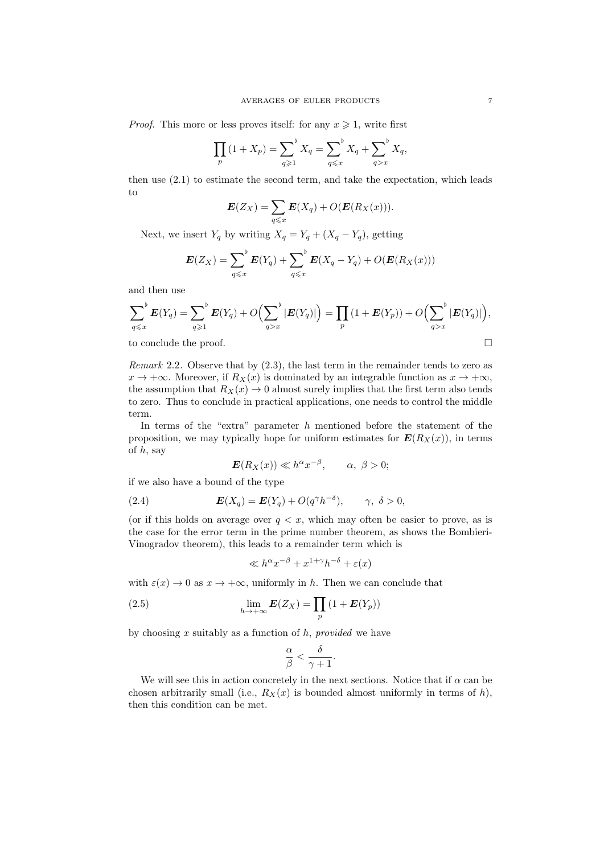*Proof.* This more or less proves itself: for any  $x \ge 1$ , write first

$$
\prod_{p} (1 + X_p) = \sum_{q \geq 1}^{b} X_q = \sum_{q \leq x}^{b} X_q + \sum_{q > x}^{b} X_q,
$$

then use (2.1) to estimate the second term, and take the expectation, which leads to

$$
\boldsymbol{E}(Z_X) = \sum_{q \leq x} \boldsymbol{E}(X_q) + O(\boldsymbol{E}(R_X(x))).
$$

Next, we insert  $Y_q$  by writing  $X_q = Y_q + (X_q - Y_q)$ , getting

$$
\boldsymbol{E}(Z_X) = \sum_{q \leq x}^{\flat} \boldsymbol{E}(Y_q) + \sum_{q \leq x}^{\flat} \boldsymbol{E}(X_q - Y_q) + O(\boldsymbol{E}(R_X(x)))
$$

and then use

$$
\sum_{q \leq x}^{b} E(Y_q) = \sum_{q \geq 1}^{b} E(Y_q) + O\Big(\sum_{q > x}^{b} |E(Y_q)|\Big) = \prod_{p} (1 + E(Y_p)) + O\Big(\sum_{q > x}^{b} |E(Y_q)|\Big),
$$

to conclude the proof.

Remark 2.2. Observe that by  $(2.3)$ , the last term in the remainder tends to zero as  $x \to +\infty$ . Moreover, if  $R_X(x)$  is dominated by an integrable function as  $x \to +\infty$ , the assumption that  $R_X(x) \to 0$  almost surely implies that the first term also tends to zero. Thus to conclude in practical applications, one needs to control the middle term.

In terms of the "extra" parameter  $h$  mentioned before the statement of the proposition, we may typically hope for uniform estimates for  $E(R_X(x))$ , in terms of  $h$ , say

$$
\mathbf{E}(R_X(x)) \ll h^{\alpha} x^{-\beta}, \qquad \alpha, \ \beta > 0;
$$

if we also have a bound of the type

(2.4) 
$$
\boldsymbol{E}(X_q) = \boldsymbol{E}(Y_q) + O(q^{\gamma}h^{-\delta}), \qquad \gamma, \ \delta > 0,
$$

(or if this holds on average over  $q \lt x$ , which may often be easier to prove, as is the case for the error term in the prime number theorem, as shows the Bombieri-Vinogradov theorem), this leads to a remainder term which is

$$
\ll h^{\alpha}x^{-\beta} + x^{1+\gamma}h^{-\delta} + \varepsilon(x)
$$

with  $\varepsilon(x) \to 0$  as  $x \to +\infty$ , uniformly in h. Then we can conclude that

(2.5) 
$$
\lim_{h \to +\infty} E(Z_X) = \prod_p (1 + E(Y_p))
$$

by choosing x suitably as a function of  $h$ , provided we have

$$
\frac{\alpha}{\beta}<\frac{\delta}{\gamma+1}.
$$

We will see this in action concretely in the next sections. Notice that if  $\alpha$  can be chosen arbitrarily small (i.e.,  $R_X(x)$  is bounded almost uniformly in terms of h), then this condition can be met.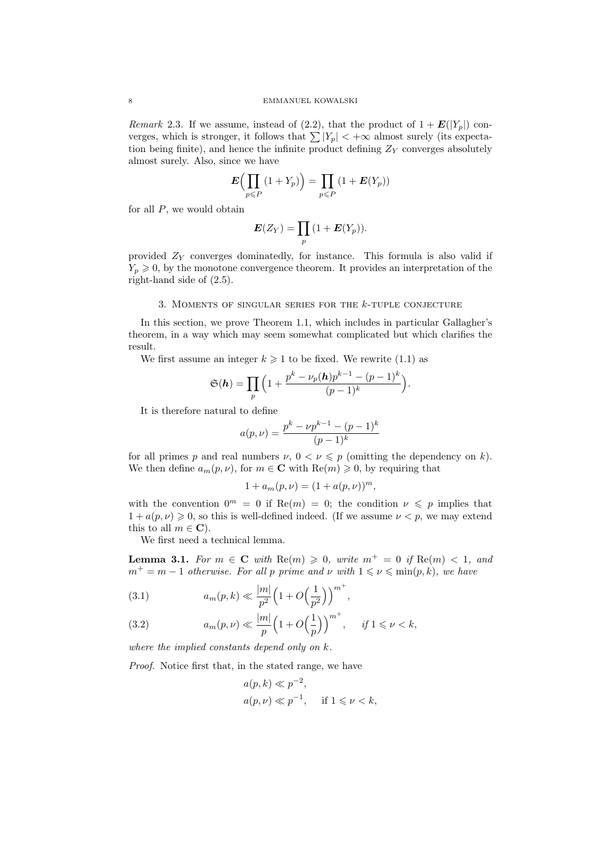*Remark* 2.3. If we assume, instead of (2.2), that the product of  $1 + E(|Y_p|)$  converges, which is stronger, it follows that  $\sum |Y_p| < +\infty$  almost surely (its expectation being finite), and hence the infinite product defining  $Z_Y$  converges absolutely almost surely. Also, since we have

$$
E\left(\prod_{p\leq P} (1+Y_p)\right) = \prod_{p\leq P} (1+E(Y_p))
$$

for all  $P$ , we would obtain

$$
\boldsymbol{E}(Z_Y)=\prod_p\big(1+\boldsymbol{E}(Y_p)\big).
$$

provided  $Z_Y$  converges dominatedly, for instance. This formula is also valid if  $Y_p \geq 0$ , by the monotone convergence theorem. It provides an interpretation of the right-hand side of (2.5).

# 3. MOMENTS OF SINGULAR SERIES FOR THE  $k$ -TUPLE CONJECTURE

In this section, we prove Theorem 1.1, which includes in particular Gallagher's theorem, in a way which may seem somewhat complicated but which clarifies the result.

We first assume an integer  $k \geq 1$  to be fixed. We rewrite (1.1) as

$$
\mathfrak{S}(\boldsymbol{h})=\prod_{p}\Big(1+\frac{p^k-\nu_p(\boldsymbol{h})p^{k-1}-(p-1)^k}{(p-1)^k}\Big).
$$

It is therefore natural to define

$$
a(p,\nu) = \frac{p^k - \nu p^{k-1} - (p-1)^k}{(p-1)^k}
$$

for all primes p and real numbers  $\nu, 0 < \nu \leqslant p$  (omitting the dependency on k). We then define  $a_m(p, \nu)$ , for  $m \in \mathbb{C}$  with  $\text{Re}(m) \geq 0$ , by requiring that

$$
1 + a_m(p, \nu) = (1 + a(p, \nu))^m,
$$

with the convention  $0^m = 0$  if Re $(m) = 0$ ; the condition  $\nu \leq p$  implies that  $1 + a(p, \nu) \geq 0$ , so this is well-defined indeed. (If we assume  $\nu < p$ , we may extend this to all  $m \in \mathbb{C}$ ).

We first need a technical lemma.

**Lemma 3.1.** For  $m \in \mathbb{C}$  with  $\text{Re}(m) \geq 0$ , write  $m^+ = 0$  if  $\text{Re}(m) < 1$ , and  $m^+ = m - 1$  otherwise. For all p prime and  $\nu$  with  $1 \leq \nu \leq \min(p, k)$ , we have

(3.1) 
$$
a_m(p,k) \ll \frac{|m|}{p^2} \left( 1 + O\left(\frac{1}{p^2}\right) \right)^{m^+},
$$

(3.2) 
$$
a_m(p,\nu) \ll \frac{|m|}{p} \left(1+O\left(\frac{1}{p}\right)\right)^{m^+}, \quad \text{if } 1 \leq \nu < k,
$$

where the implied constants depend only on k.

Proof. Notice first that, in the stated range, we have

$$
a(p,k) \ll p^{-2},
$$
  
 
$$
a(p,\nu) \ll p^{-1}, \quad \text{if } 1 \leq \nu < k,
$$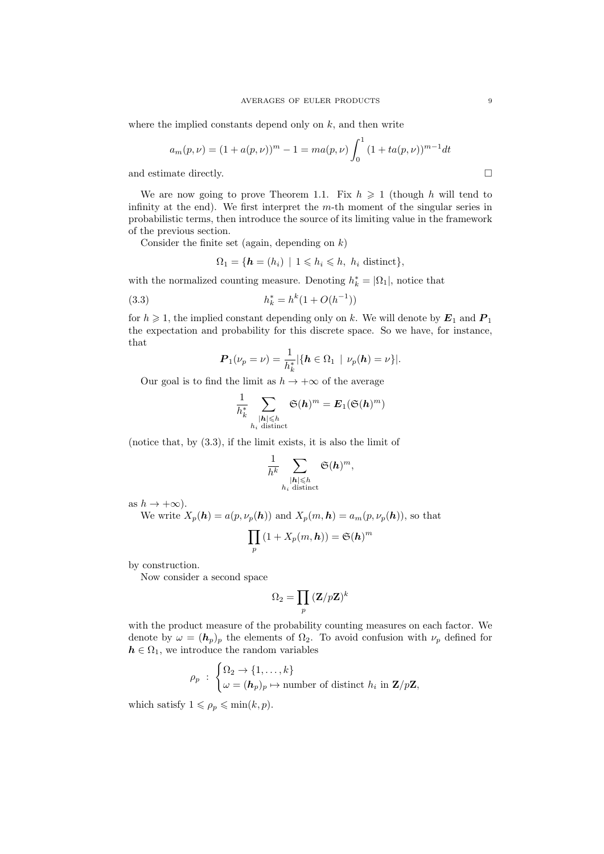where the implied constants depend only on  $k$ , and then write

$$
a_m(p,\nu) = (1 + a(p,\nu))^m - 1 = ma(p,\nu) \int_0^1 (1 + ta(p,\nu))^{m-1} dt
$$

and estimate directly.

We are now going to prove Theorem 1.1. Fix  $h \geq 1$  (though h will tend to infinity at the end). We first interpret the  $m$ -th moment of the singular series in probabilistic terms, then introduce the source of its limiting value in the framework of the previous section.

Consider the finite set (again, depending on  $k$ )

$$
\Omega_1 = \{ \mathbf{h} = (h_i) \mid 1 \leq h_i \leq h, \ h_i \text{ distinct} \},
$$

with the normalized counting measure. Denoting  $h_k^* = |\Omega_1|$ , notice that

(3.3) 
$$
h_k^* = h^k (1 + O(h^{-1}))
$$

for  $h \geq 1$ , the implied constant depending only on k. We will denote by  $E_1$  and  $P_1$ the expectation and probability for this discrete space. So we have, for instance, that

$$
\boldsymbol{P}_1(\nu_p = \nu) = \frac{1}{h_k^*} |\{\boldsymbol{h} \in \Omega_1 \mid \nu_p(\boldsymbol{h}) = \nu\}|.
$$

Our goal is to find the limit as  $h \to +\infty$  of the average

$$
\frac{1}{h_k^*}\sum_{\substack{|{\boldsymbol h}|\leqslant h\\ h_i\text{ distinct}}}\mathfrak{S}({\boldsymbol h})^m={\boldsymbol E}_1(\mathfrak{S}({\boldsymbol h})^m)
$$

(notice that, by (3.3), if the limit exists, it is also the limit of

$$
\frac{1}{h^k}\sum_{\substack{|{\boldsymbol h}|\leqslant h\\ h_i\text{ distinct}}}\mathfrak{S}({\boldsymbol h})^m,
$$

as  $h \to +\infty$ ).

We write  $X_p(h) = a(p, \nu_p(h))$  and  $X_p(m, h) = a_m(p, \nu_p(h))$ , so that

$$
\prod_p (1 + X_p(m, \mathbf{h})) = \mathfrak{S}(\mathbf{h})^m
$$

by construction.

Now consider a second space

$$
\Omega_2 = \prod_p \, (\mathbf{Z}/p\mathbf{Z})^k
$$

with the product measure of the probability counting measures on each factor. We denote by  $\omega = (h_p)_p$  the elements of  $\Omega_2$ . To avoid confusion with  $\nu_p$  defined for  $h \in \Omega_1$ , we introduce the random variables

$$
\rho_p : \begin{cases} \Omega_2 \to \{1, \dots, k\} \\ \omega = (\mathbf{h}_p)_p \mapsto \text{number of distinct } h_i \text{ in } \mathbf{Z}/p\mathbf{Z}, \end{cases}
$$

which satisfy  $1 \leqslant \rho_p \leqslant \min(k, p)$ .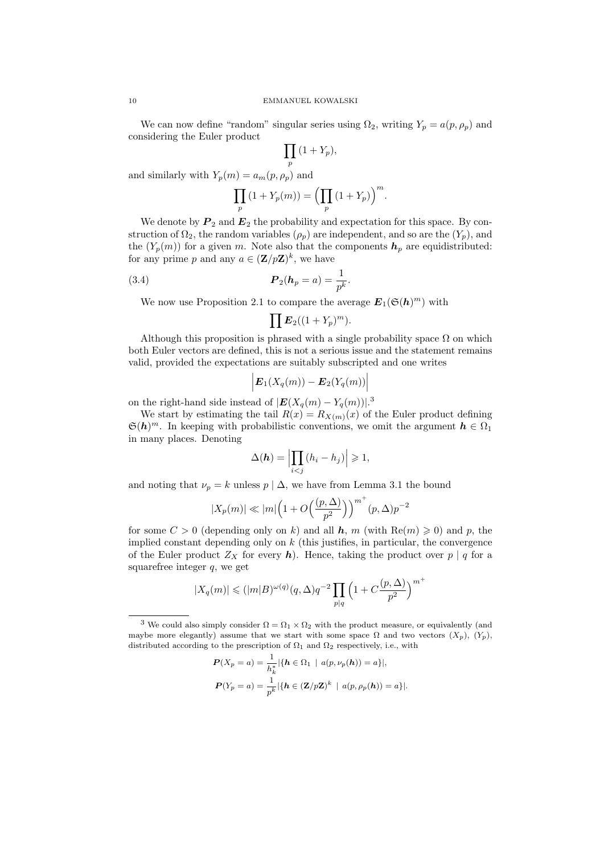We can now define "random" singular series using  $\Omega_2$ , writing  $Y_p = a(p, \rho_p)$  and considering the Euler product

$$
\prod_{p} (1 + Y_p),
$$

and similarly with  $Y_p(m) = a_m(p, \rho_p)$  and

$$
\prod_p (1 + Y_p(m)) = \left(\prod_p (1 + Y_p)\right)^m.
$$

We denote by  $P_2$  and  $E_2$  the probability and expectation for this space. By construction of  $\Omega_2$ , the random variables  $(\rho_p)$  are independent, and so are the  $(Y_p)$ , and the  $(Y_p(m))$  for a given m. Note also that the components  $h_p$  are equidistributed: for any prime p and any  $a \in (\mathbf{Z}/p\mathbf{Z})^k$ , we have

.

(3.4) 
$$
P_2(h_p = a) = \frac{1}{p^k}
$$

We now use Proposition 2.1 to compare the average  $E_1(\mathfrak{S}(h)^m)$  with

$$
\prod \boldsymbol{E}_2((1+Y_p)^m).
$$

Although this proposition is phrased with a single probability space  $\Omega$  on which both Euler vectors are defined, this is not a serious issue and the statement remains valid, provided the expectations are suitably subscripted and one writes

$$
\Big| \boldsymbol{E}_1(X_q(m)) - \boldsymbol{E}_2(Y_q(m)) \Big|
$$

on the right-hand side instead of  $|E(X_q(m) - Y_q(m))|$ .<sup>3</sup>

We start by estimating the tail  $R(x) = R_{X(m)}(x)$  of the Euler product defining  $\mathfrak{S}(h)^m$ . In keeping with probabilistic conventions, we omit the argument  $h \in \Omega_1$ in many places. Denoting

$$
\Delta(\boldsymbol{h}) = \left| \prod_{i < j} \left( h_i - h_j \right) \right| \geqslant 1,
$$

and noting that  $\nu_p = k$  unless  $p | \Delta$ , we have from Lemma 3.1 the bound

$$
|X_p(m)| \ll |m|\Big(1+O\Big(\frac{(p,\Delta)}{p^2}\Big)\Big)^{m^+}(p,\Delta)p^{-2}
$$

for some  $C > 0$  (depending only on k) and all h, m (with  $\text{Re}(m) \geq 0$ ) and p, the implied constant depending only on  $k$  (this justifies, in particular, the convergence of the Euler product  $Z_X$  for every h). Hence, taking the product over  $p | q$  for a squarefree integer  $q$ , we get

$$
|X_q(m)| \leqslant (|m|B)^{\omega(q)}(q,\Delta)q^{-2}\prod_{p|q}\left(1+C\frac{(p,\Delta)}{p^2}\right)^{m^+}
$$

$$
P(X_p = a) = \frac{1}{h_k^*} |\{h \in \Omega_1 \mid a(p, \nu_p(h)) = a\}|,
$$
  

$$
P(Y_p = a) = \frac{1}{p^k} |\{h \in (\mathbf{Z}/p\mathbf{Z})^k \mid a(p, \rho_p(h)) = a\}|.
$$

 $^3$  We could also simply consider  $\Omega=\Omega_1\times\Omega_2$  with the product measure, or equivalently (and maybe more elegantly) assume that we start with some space  $\Omega$  and two vectors  $(X_p)$ ,  $(Y_p)$ , distributed according to the prescription of  $\Omega_1$  and  $\Omega_2$  respectively, i.e., with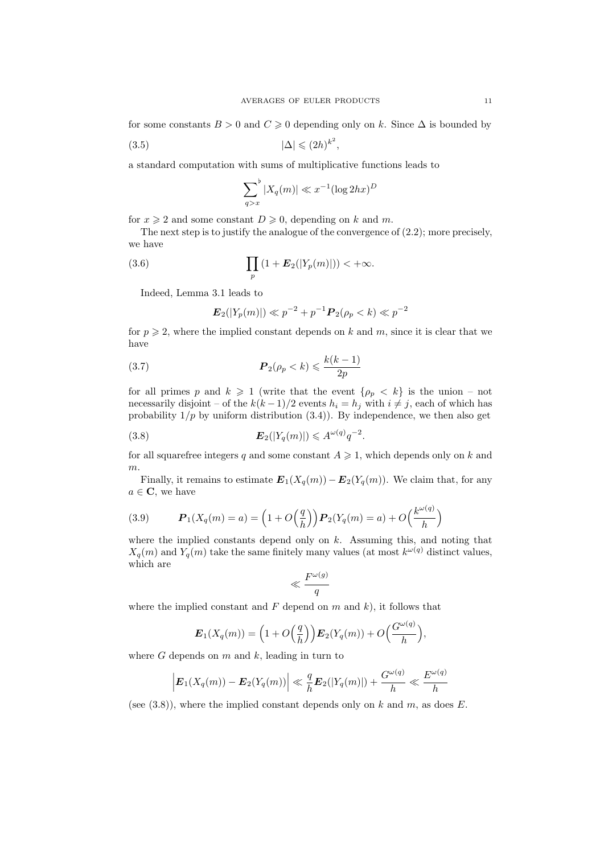for some constants  $B > 0$  and  $C \ge 0$  depending only on k. Since  $\Delta$  is bounded by

$$
(3.5) \t\t |\Delta| \leq (2h)^{k^2},
$$

a standard computation with sums of multiplicative functions leads to

$$
\sum_{q>x}^{b} |X_q(m)| \ll x^{-1} (\log 2hx)^D
$$

for  $x \ge 2$  and some constant  $D \ge 0$ , depending on k and m.

The next step is to justify the analogue of the convergence of (2.2); more precisely, we have

(3.6) 
$$
\prod_{p} (1 + \bm{E}_2(|Y_p(m)|)) < +\infty.
$$

Indeed, Lemma 3.1 leads to

$$
\mathbf{E}_2(|Y_p(m)|) \ll p^{-2} + p^{-1} \mathbf{P}_2(\rho_p < k) \ll p^{-2}
$$

for  $p \geq 2$ , where the implied constant depends on k and m, since it is clear that we have

(3.7) P <sup>2</sup>(ρ<sup>p</sup> < k) 6 k(k − 1) 2p

for all primes p and  $k \geq 1$  (write that the event  $\{\rho_p \leq k\}$  is the union – not necessarily disjoint – of the  $k(k-1)/2$  events  $h_i = h_j$  with  $i \neq j$ , each of which has probability  $1/p$  by uniform distribution  $(3.4)$ ). By independence, we then also get

(3.8) E2(|Yq(m)|) 6 A ω(q) q −2 .

for all squarefree integers q and some constant  $A \geq 1$ , which depends only on k and  $m<sub>1</sub>$ 

Finally, it remains to estimate  $\mathbf{E}_1(X_q(m)) - \mathbf{E}_2(Y_q(m))$ . We claim that, for any  $a \in \mathbf{C}$ , we have

(3.9) 
$$
\mathbf{P}_1(X_q(m) = a) = \left(1 + O\left(\frac{q}{h}\right)\right) \mathbf{P}_2(Y_q(m) = a) + O\left(\frac{k^{\omega(q)}}{h}\right)
$$

where the implied constants depend only on  $k$ . Assuming this, and noting that  $X_q(m)$  and  $Y_q(m)$  take the same finitely many values (at most  $k^{\omega(q)}$  distinct values, which are

$$
\ll \frac{F^{\omega(g)}}{q}
$$

where the implied constant and  $F$  depend on  $m$  and  $k$ ), it follows that

$$
\boldsymbol{E}_1(X_q(m)) = \left(1 + O\left(\frac{q}{h}\right)\right) \boldsymbol{E}_2(Y_q(m)) + O\left(\frac{G^{\omega(q)}}{h}\right),
$$

where  $G$  depends on  $m$  and  $k$ , leading in turn to

$$
\left| \boldsymbol{E}_1(X_q(m)) - \boldsymbol{E}_2(Y_q(m)) \right| \ll \frac{q}{h} \boldsymbol{E}_2(|Y_q(m)|) + \frac{G^{\omega(q)}}{h} \ll \frac{E^{\omega(q)}}{h}
$$

(see  $(3.8)$ ), where the implied constant depends only on k and m, as does E.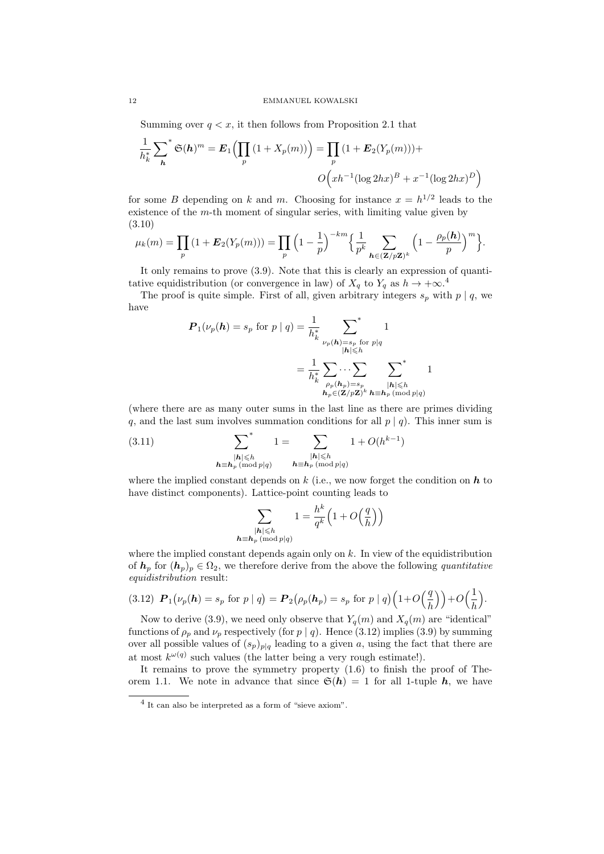### 12 EMMANUEL KOWALSKI

Summing over  $q \lt x$ , it then follows from Proposition 2.1 that

$$
\frac{1}{h_k^*} \sum_{\mathbf{h}}^* \mathfrak{S}(\mathbf{h})^m = \mathbf{E}_1 \Big( \prod_p \left( 1 + X_p(m) \right) \Big) = \prod_p \left( 1 + \mathbf{E}_2(Y_p(m)) \right) +
$$

$$
O\Big(xh^{-1} (\log 2hx)^B + x^{-1} (\log 2hx)^D\Big)
$$

for some B depending on k and m. Choosing for instance  $x = h^{1/2}$  leads to the existence of the m-th moment of singular series, with limiting value given by (3.10)

$$
\mu_k(m) = \prod_p \left(1 + \boldsymbol{E}_2(Y_p(m))\right) = \prod_p \left(1 - \frac{1}{p}\right)^{-km} \left\{\frac{1}{p^k} \sum_{\boldsymbol{h} \in (\mathbf{Z}/p\mathbf{Z})^k} \left(1 - \frac{\rho_p(\boldsymbol{h})}{p}\right)^m\right\}.
$$

It only remains to prove (3.9). Note that this is clearly an expression of quantitative equidistribution (or convergence in law) of  $X_q$  to  $Y_q$  as  $h \to +\infty$ .<sup>4</sup>

The proof is quite simple. First of all, given arbitrary integers  $s_p$  with  $p \mid q$ , we have

$$
P_1(\nu_p(h) = s_p \text{ for } p \mid q) = \frac{1}{h_k^*} \sum_{\substack{\nu_p(h) = s_p \text{ for } p \mid q \\ |h| \leq h}} \frac{1}{\left|\frac{1}{h_k^*} \sum_{\substack{\rho_p(h_p) = s_p \\ h_p \in (\mathbf{Z}/p\mathbf{Z})^k}} \sum_{\substack{\mathbf{h} \mid h \mid \leq h \\ \mathbf{h}_p \in (\mathbf{Z}/p\mathbf{Z})^k}} \frac{1}{\left|\frac{h}{\mathbf{h}_p}\right|}
$$

(where there are as many outer sums in the last line as there are primes dividing q, and the last sum involves summation conditions for all  $p | q$ ). This inner sum is

(3.11) 
$$
\sum_{\substack{|h| \leq h \\ h \equiv h_p \pmod{p|q}}}^{*} 1 = \sum_{\substack{|h| \leq h \\ h \equiv h_p \pmod{p|q}}} 1 + O(h^{k-1})
$$

where the implied constant depends on k (i.e., we now forget the condition on  $h$  to have distinct components). Lattice-point counting leads to

$$
\sum_{\substack{|\boldsymbol{h}| \leqslant h \\ \boldsymbol{h}_p \pmod{p(q)}}} 1 = \frac{h^k}{q^k} \Big( 1 + O\Big(\frac{q}{h}\Big) \Big)
$$

where the implied constant depends again only on  $k$ . In view of the equidistribution of  $h_p$  for  $(h_p)_p \in \Omega_2$ , we therefore derive from the above the following quantitative equidistribution result:

$$
(3.12) \ \boldsymbol{P}_1\big(\nu_p(\boldsymbol{h})=s_p \text{ for } p \mid q\big) = \boldsymbol{P}_2\big(\rho_p(\boldsymbol{h}_p)=s_p \text{ for } p \mid q\big) \Big(1+O\Big(\frac{q}{h}\Big)\Big)+O\Big(\frac{1}{h}\Big).
$$

Now to derive (3.9), we need only observe that  $Y_q(m)$  and  $X_q(m)$  are "identical" functions of  $\rho_p$  and  $\nu_p$  respectively (for p | q). Hence (3.12) implies (3.9) by summing over all possible values of  $(s_p)_{p|q}$  leading to a given a, using the fact that there are at most  $k^{\omega(q)}$  such values (the latter being a very rough estimate!).

It remains to prove the symmetry property (1.6) to finish the proof of Theorem 1.1. We note in advance that since  $\mathfrak{S}(h) = 1$  for all 1-tuple h, we have

 $h$ 

<sup>4</sup> It can also be interpreted as a form of "sieve axiom".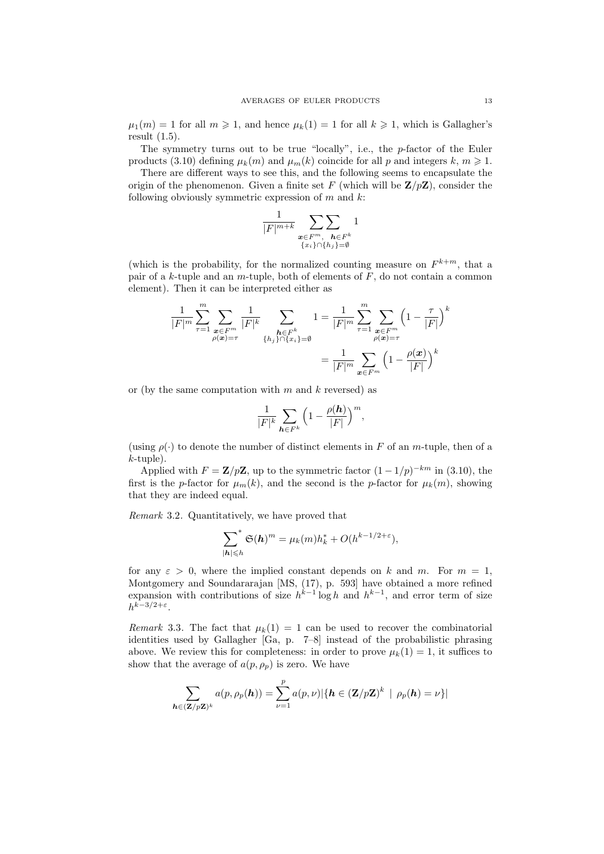$\mu_1(m) = 1$  for all  $m \ge 1$ , and hence  $\mu_k(1) = 1$  for all  $k \ge 1$ , which is Gallagher's result (1.5).

The symmetry turns out to be true "locally", i.e., the p-factor of the Euler products (3.10) defining  $\mu_k(m)$  and  $\mu_m(k)$  coincide for all p and integers k,  $m \geq 1$ .

There are different ways to see this, and the following seems to encapsulate the origin of the phenomenon. Given a finite set F (which will be  $\mathbf{Z}/p\mathbf{Z}$ ), consider the following obviously symmetric expression of  $m$  and  $k$ :

$$
\frac{1}{|F|^{m+k}}\sum_{\substack{\boldsymbol{x}\in F^m,\\ \{x_i\}\cap\{h_j\}=\emptyset}}1
$$

(which is the probability, for the normalized counting measure on  $F^{k+m}$ , that a pair of a k-tuple and an m-tuple, both of elements of  $F$ , do not contain a common element). Then it can be interpreted either as

$$
\frac{1}{|F|^m} \sum_{\tau=1}^m \sum_{\substack{\mathbf{x} \in F^m \\ \rho(\mathbf{x}) = \tau}} \frac{1}{|F|^k} \sum_{\substack{\mathbf{h} \in F^k \\ \{h_j\} \cap \{x_i\} = \emptyset}} 1 = \frac{1}{|F|^m} \sum_{\tau=1}^m \sum_{\substack{\mathbf{x} \in F^m \\ \rho(\mathbf{x}) = \tau}} \left(1 - \frac{\tau}{|F|}\right)^k
$$

$$
= \frac{1}{|F|^m} \sum_{\mathbf{x} \in F^m} \left(1 - \frac{\rho(\mathbf{x})}{|F|}\right)^k
$$

or (by the same computation with  $m$  and  $k$  reversed) as

$$
\frac{1}{|F|^k}\sum_{\pmb{h}\in F^k}\Big(1-\frac{\rho(\pmb{h})}{|F|}\Big)^m,
$$

(using  $\rho(\cdot)$  to denote the number of distinct elements in F of an m-tuple, then of a k-tuple).

Applied with  $F = \mathbf{Z}/p\mathbf{Z}$ , up to the symmetric factor  $(1 - 1/p)^{-km}$  in (3.10), the first is the p-factor for  $\mu_m(k)$ , and the second is the p-factor for  $\mu_k(m)$ , showing that they are indeed equal.

Remark 3.2. Quantitatively, we have proved that

$$
\sum_{|\mathbf{h}| \leqslant h}^* \mathfrak{S}(\mathbf{h})^m = \mu_k(m) h_k^* + O(h^{k-1/2+\varepsilon}),
$$

for any  $\varepsilon > 0$ , where the implied constant depends on k and m. For  $m = 1$ , Montgomery and Soundararajan [MS, (17), p. 593] have obtained a more refined expansion with contributions of size  $h^{k-1}$  log h and  $h^{k-1}$ , and error term of size  $h^{k-3/2+\varepsilon}.$ 

Remark 3.3. The fact that  $\mu_k(1) = 1$  can be used to recover the combinatorial identities used by Gallagher [Ga, p. 7–8] instead of the probabilistic phrasing above. We review this for completeness: in order to prove  $\mu_k(1) = 1$ , it suffices to show that the average of  $a(p, \rho_p)$  is zero. We have

$$
\sum_{\mathbf{h}\in(\mathbf{Z}/p\mathbf{Z})^k} a(p,\rho_p(\mathbf{h})) = \sum_{\nu=1}^p a(p,\nu) |\{\mathbf{h}\in(\mathbf{Z}/p\mathbf{Z})^k \,|\, \rho_p(\mathbf{h}) = \nu\}|
$$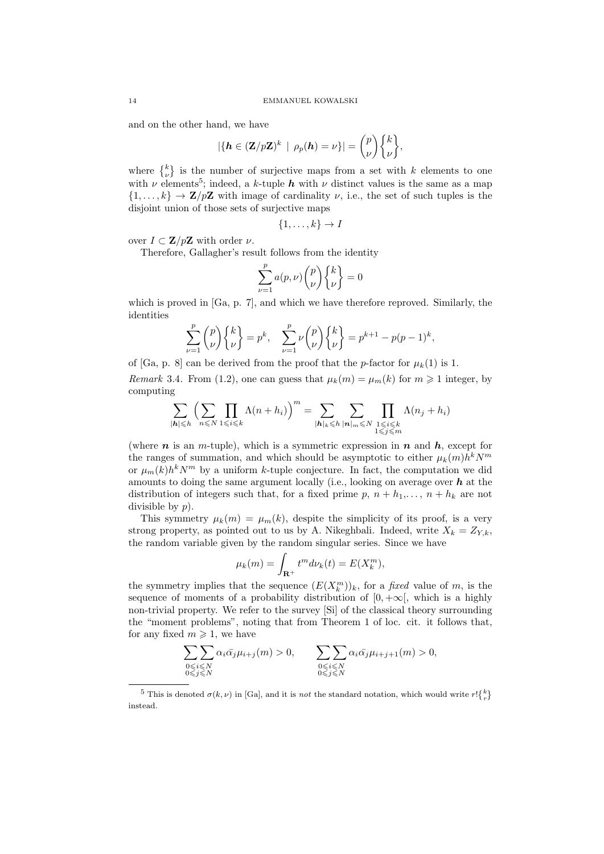and on the other hand, we have

$$
|\{\mathbf{h} \in (\mathbf{Z}/p\mathbf{Z})^k \mid \rho_p(\mathbf{h}) = \nu\}| = \binom{p}{\nu} \binom{k}{\nu},
$$

where  $\{k \atop \nu}$  is the number of surjective maps from a set with k elements to one with  $\nu$  elements<sup>5</sup>; indeed, a k-tuple h with  $\nu$  distinct values is the same as a map  $\{1,\ldots,k\} \to \mathbf{Z}/p\mathbf{Z}$  with image of cardinality  $\nu$ , i.e., the set of such tuples is the disjoint union of those sets of surjective maps

$$
\{1,\ldots,k\} \to I
$$

over  $I \subset \mathbf{Z}/p\mathbf{Z}$  with order  $\nu$ .

Therefore, Gallagher's result follows from the identity

$$
\sum_{\nu=1}^p a(p,\nu) \binom{p}{\nu} \binom{k}{\nu} = 0
$$

which is proved in [Ga, p. 7], and which we have therefore reproved. Similarly, the identities

$$
\sum_{\nu=1}^{p} {p \choose \nu} {k \choose \nu} = p^k, \quad \sum_{\nu=1}^{p} \nu {p \choose \nu} {k \choose \nu} = p^{k+1} - p(p-1)^k,
$$

of [Ga, p. 8] can be derived from the proof that the p-factor for  $\mu_k(1)$  is 1. Remark 3.4. From (1.2), one can guess that  $\mu_k(m) = \mu_m(k)$  for  $m \ge 1$  integer, by computing

$$
\sum_{|\mathbf{h}| \leqslant h} \left( \sum_{n \leqslant N} \prod_{1 \leqslant i \leqslant k} \Lambda(n+h_i) \right)^m = \sum_{|\mathbf{h}|_k \leqslant h} \sum_{|\mathbf{n}|_m \leqslant N} \prod_{\substack{1 \leqslant i \leqslant k \\ 1 \leqslant j \leqslant m}} \Lambda(n_j+h_i)
$$

(where  $n$  is an m-tuple), which is a symmetric expression in  $n$  and  $h$ , except for the ranges of summation, and which should be asymptotic to either  $\mu_k(m)h^kN^m$ or  $\mu_m(k)h^kN^m$  by a uniform k-tuple conjecture. In fact, the computation we did amounts to doing the same argument locally (i.e., looking on average over  $h$  at the distribution of integers such that, for a fixed prime p,  $n + h_1, \ldots, n + h_k$  are not divisible by p).

This symmetry  $\mu_k(m) = \mu_m(k)$ , despite the simplicity of its proof, is a very strong property, as pointed out to us by A. Nikeghbali. Indeed, write  $X_k = Z_{Y,k}$ , the random variable given by the random singular series. Since we have

$$
\mu_k(m) = \int_{\mathbf{R}^+} t^m d\nu_k(t) = E(X_k^m),
$$

the symmetry implies that the sequence  $(E(X_k^m))_k$ , for a *fixed* value of m, is the sequence of moments of a probability distribution of  $[0, +\infty]$ , which is a highly non-trivial property. We refer to the survey [Si] of the classical theory surrounding the "moment problems", noting that from Theorem 1 of loc. cit. it follows that, for any fixed  $m \geq 1$ , we have

$$
\sum_{\substack{0 \le i \le N \\ 0 \le j \le N}} \sum_{\alpha_i \bar{\alpha_j} \mu_{i+j}} (\alpha_i) > 0, \qquad \sum_{\substack{0 \le i \le N \\ 0 \le j \le N}} \sum_{\alpha_i \bar{\alpha_j} \mu_{i+j+1}} (\alpha_i) > 0,
$$

<sup>&</sup>lt;sup>5</sup> This is denoted  $\sigma(k,\nu)$  in [Ga], and it is not the standard notation, which would write  $r! \binom{k}{r}$ instead.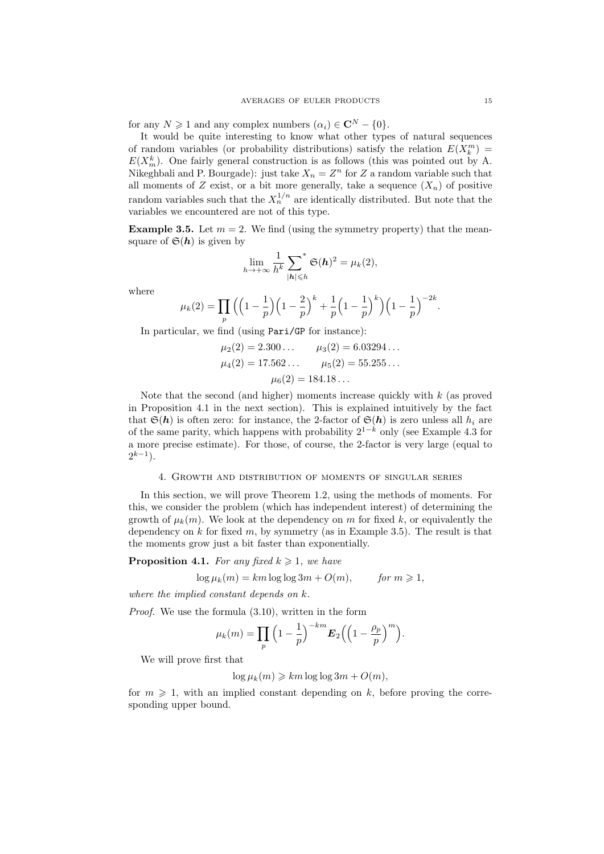for any  $N \geq 1$  and any complex numbers  $(\alpha_i) \in \mathbb{C}^N - \{0\}.$ 

It would be quite interesting to know what other types of natural sequences of random variables (or probability distributions) satisfy the relation  $E(X_k^m)$  =  $E(X_m^k)$ . One fairly general construction is as follows (this was pointed out by A. Nikeghbali and P. Bourgade): just take  $X_n = Z^n$  for Z a random variable such that all moments of Z exist, or a bit more generally, take a sequence  $(X_n)$  of positive random variables such that the  $X_n^{1/n}$  are identically distributed. But note that the variables we encountered are not of this type.

**Example 3.5.** Let  $m = 2$ . We find (using the symmetry property) that the meansquare of  $\mathfrak{S}(h)$  is given by

$$
\lim_{h\to+\infty}\frac{1}{h^k}\sum_{|\boldsymbol{h}|\leq h}\mathfrak{S}(\boldsymbol{h})^2=\mu_k(2),
$$

where

$$
\mu_k(2) = \prod_p \Big( \Big(1 - \frac{1}{p}\Big) \Big(1 - \frac{2}{p}\Big)^k + \frac{1}{p} \Big(1 - \frac{1}{p}\Big)^k \Big) \Big(1 - \frac{1}{p}\Big)^{-2k}.
$$

In particular, we find (using Pari/GP for instance):

$$
\mu_2(2) = 2.300...
$$
  $\mu_3(2) = 6.03294...$   
\n $\mu_4(2) = 17.562...$   $\mu_5(2) = 55.255...$   
\n $\mu_6(2) = 184.18...$ 

Note that the second (and higher) moments increase quickly with  $k$  (as proved in Proposition 4.1 in the next section). This is explained intuitively by the fact that  $\mathfrak{S}(h)$  is often zero: for instance, the 2-factor of  $\mathfrak{S}(h)$  is zero unless all  $h_i$  are of the same parity, which happens with probability  $2^{1-k}$  only (see Example 4.3 for a more precise estimate). For those, of course, the 2-factor is very large (equal to  $2^{k-1}$ ).

# 4. Growth and distribution of moments of singular series

In this section, we will prove Theorem 1.2, using the methods of moments. For this, we consider the problem (which has independent interest) of determining the growth of  $\mu_k(m)$ . We look at the dependency on m for fixed k, or equivalently the dependency on  $k$  for fixed  $m$ , by symmetry (as in Example 3.5). The result is that the moments grow just a bit faster than exponentially.

**Proposition 4.1.** For any fixed  $k \geq 1$ , we have

$$
\log \mu_k(m) = km \log \log 3m + O(m), \qquad \text{for } m \geq 1,
$$

where the implied constant depends on k.

Proof. We use the formula (3.10), written in the form

$$
\mu_k(m) = \prod_p \left(1 - \frac{1}{p}\right)^{-km} \mathbf{E}_2\left(\left(1 - \frac{\rho_p}{p}\right)^m\right).
$$

We will prove first that

 $\log \mu_k(m) \geq k m \log \log 3m + O(m),$ 

for  $m \geq 1$ , with an implied constant depending on k, before proving the corresponding upper bound.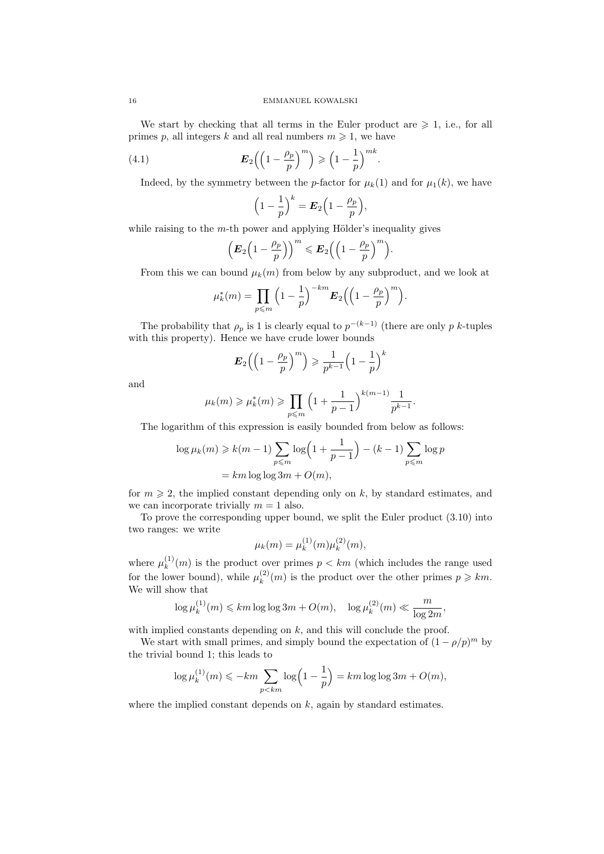We start by checking that all terms in the Euler product are  $\geq 1$ , i.e., for all primes p, all integers k and all real numbers  $m \geq 1$ , we have

(4.1) 
$$
\boldsymbol{E}_2\left(\left(1-\frac{\rho_p}{p}\right)^m\right) \geqslant \left(1-\frac{1}{p}\right)^{mk}.
$$

Indeed, by the symmetry between the p-factor for  $\mu_k(1)$  and for  $\mu_1(k)$ , we have

$$
\left(1-\frac{1}{p}\right)^k = \boldsymbol{E}_2\Big(1-\frac{\rho_p}{p}\Big),\,
$$

while raising to the  $m$ -th power and applying Hölder's inequality gives

$$
\left(E_2\Big(1-\frac{\rho_p}{p}\Big)\right)^m \leqslant E_2\Big(\Big(1-\frac{\rho_p}{p}\Big)^m\Big).
$$

From this we can bound  $\mu_k(m)$  from below by any subproduct, and we look at

$$
\mu_k^*(m) = \prod_{p \leqslant m} \left(1 - \frac{1}{p}\right)^{-km} E_2\Big(\Big(1 - \frac{\rho_p}{p}\Big)^m\Big).
$$

The probability that  $\rho_p$  is 1 is clearly equal to  $p^{-(k-1)}$  (there are only p k-tuples with this property). Hence we have crude lower bounds

$$
\mathbf{E}_2\Big(\Big(1-\frac{\rho_p}{p}\Big)^m\Big) \geqslant \frac{1}{p^{k-1}}\Big(1-\frac{1}{p}\Big)^k
$$

and

$$
\mu_k(m) \ge \mu_k^*(m) \ge \prod_{p \le m} \left(1 + \frac{1}{p-1}\right)^{k(m-1)} \frac{1}{p^{k-1}}.
$$

The logarithm of this expression is easily bounded from below as follows:

$$
\log \mu_k(m) \geq k(m-1) \sum_{p \leq m} \log \left( 1 + \frac{1}{p-1} \right) - (k-1) \sum_{p \leq m} \log p
$$

$$
= km \log \log 3m + O(m),
$$

for  $m \geq 2$ , the implied constant depending only on k, by standard estimates, and we can incorporate trivially  $m = 1$  also.

To prove the corresponding upper bound, we split the Euler product (3.10) into two ranges: we write

$$
\mu_k(m) = \mu_k^{(1)}(m)\mu_k^{(2)}(m),
$$

where  $\mu_k^{(1)}$  $\binom{N}{k}(m)$  is the product over primes  $p < km$  (which includes the range used for the lower bound), while  $\mu_k^{(2)}$  $\binom{2}{k}(m)$  is the product over the other primes  $p \geq k m$ . We will show that

$$
\log \mu_k^{(1)}(m) \leqslant km \log \log 3m + O(m), \quad \log \mu_k^{(2)}(m) \ll \frac{m}{\log 2m},
$$

with implied constants depending on  $k$ , and this will conclude the proof.

We start with small primes, and simply bound the expectation of  $(1 - \rho/p)^m$  by the trivial bound 1; this leads to

$$
\log \mu_k^{(1)}(m) \leqslant -km \sum_{p < km} \log \left(1 - \frac{1}{p}\right) = km \log \log 3m + O(m),
$$

where the implied constant depends on  $k$ , again by standard estimates.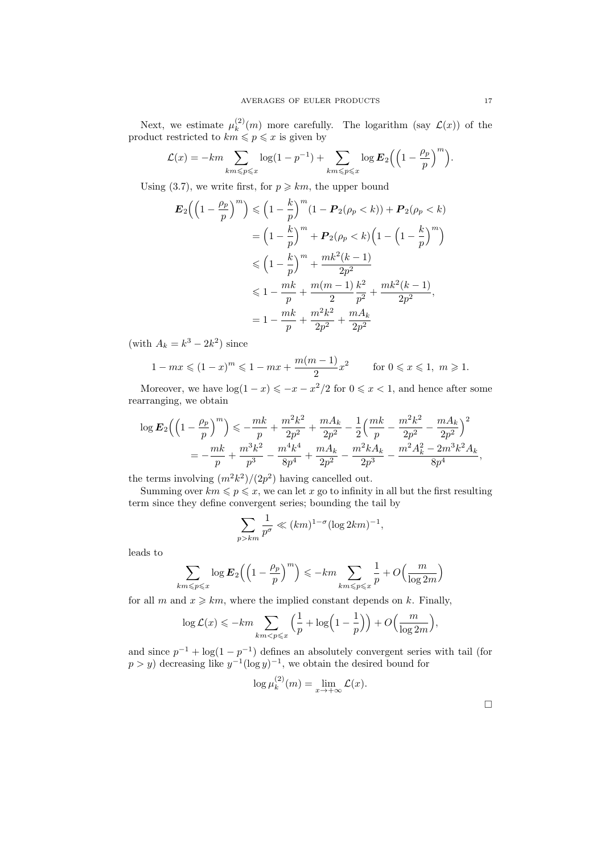Next, we estimate  $\mu_k^{(2)}$  $\binom{2}{k}(m)$  more carefully. The logarithm (say  $\mathcal{L}(x)$ ) of the product restricted to  $km \leqslant p \leqslant x$  is given by

$$
\mathcal{L}(x) = -km \sum_{km \le p \le x} \log(1 - p^{-1}) + \sum_{km \le p \le x} \log \mathbf{E}_2 \Big( \Big( 1 - \frac{\rho_p}{p} \Big)^m \Big).
$$

Using (3.7), we write first, for  $p \geq k m$ , the upper bound

$$
E_2\left(\left(1-\frac{\rho_p}{p}\right)^m\right) \leq \left(1-\frac{k}{p}\right)^m (1-P_2(\rho_p < k)) + P_2(\rho_p < k)
$$
  
=  $\left(1-\frac{k}{p}\right)^m + P_2(\rho_p < k) \left(1-\left(1-\frac{k}{p}\right)^m\right)$   
 $\leq \left(1-\frac{k}{p}\right)^m + \frac{mk^2(k-1)}{2p^2}$   
 $\leq 1 - \frac{mk}{p} + \frac{m(m-1)}{2} \frac{k^2}{p^2} + \frac{mk^2(k-1)}{2p^2},$   
=  $1 - \frac{mk}{p} + \frac{m^2k^2}{2p^2} + \frac{mA_k}{2p^2}$ 

(with  $A_k = k^3 - 2k^2$ ) since

$$
1 - mx \le (1 - x)^m \le 1 - mx + \frac{m(m - 1)}{2}x^2 \qquad \text{for } 0 \le x \le 1, \ m \ge 1.
$$

Moreover, we have  $\log(1-x) \leqslant -x-x^2/2$  for  $0 \leqslant x < 1$ , and hence after some rearranging, we obtain

$$
\log \mathbf{E}_2 \Big( \Big(1 - \frac{\rho_p}{p}\Big)^m \Big) \leqslant -\frac{mk}{p} + \frac{m^2k^2}{2p^2} + \frac{mA_k}{2p^2} - \frac{1}{2} \Big( \frac{mk}{p} - \frac{m^2k^2}{2p^2} - \frac{mA_k}{2p^2} \Big)^2
$$
  
= 
$$
-\frac{mk}{p} + \frac{m^3k^2}{p^3} - \frac{m^4k^4}{8p^4} + \frac{mA_k}{2p^2} - \frac{m^2kA_k}{2p^3} - \frac{m^2A_k^2 - 2m^3k^2A_k}{8p^4},
$$

the terms involving  $(m^2k^2)/(2p^2)$  having cancelled out.

 $\overline{p}$ 

Summing over  $km \leq p \leq x$ , we can let x go to infinity in all but the first resulting term since they define convergent series; bounding the tail by

$$
\sum_{k>m} \frac{1}{p^{\sigma}} \ll (km)^{1-\sigma} (\log 2km)^{-1},
$$

leads to

$$
\sum_{km \le p \le x} \log \mathbf{E}_2 \left( \left( 1 - \frac{\rho_p}{p} \right)^m \right) \le -km \sum_{km \le p \le x} \frac{1}{p} + O\left( \frac{m}{\log 2m} \right)
$$

for all m and  $x \geq k m$ , where the implied constant depends on k. Finally,

$$
\log \mathcal{L}(x) \leqslant -km \sum_{km < p \leqslant x} \left(\frac{1}{p} + \log\left(1 - \frac{1}{p}\right)\right) + O\left(\frac{m}{\log 2m}\right),
$$

and since  $p^{-1} + \log(1 - p^{-1})$  defines an absolutely convergent series with tail (for  $p > y$  decreasing like  $y^{-1}(\log y)^{-1}$ , we obtain the desired bound for

$$
\log \mu_k^{(2)}(m) = \lim_{x \to +\infty} \mathcal{L}(x).
$$

 $\Box$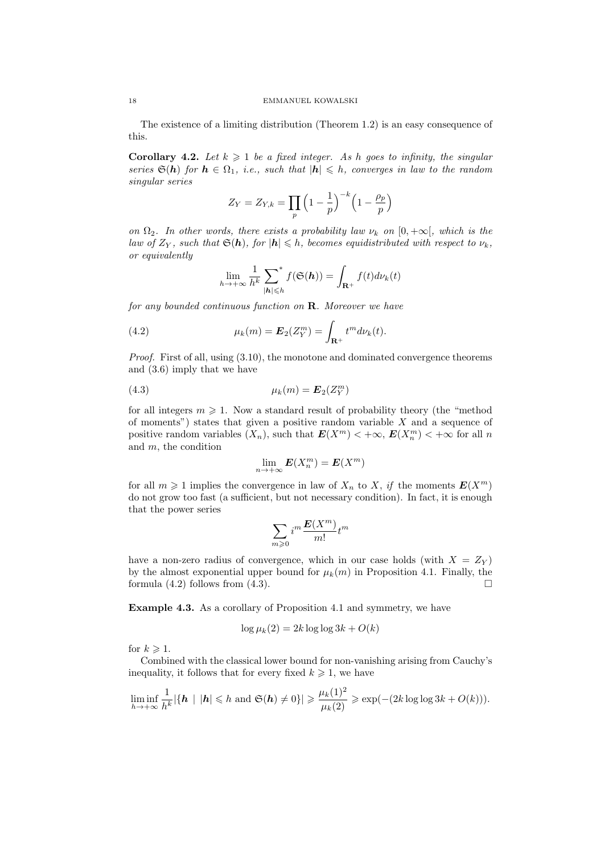The existence of a limiting distribution (Theorem 1.2) is an easy consequence of this.

**Corollary 4.2.** Let  $k \geq 1$  be a fixed integer. As h goes to infinity, the singular series  $\mathfrak{S}(h)$  for  $h \in \Omega_1$ , i.e., such that  $|h| \leq h$ , converges in law to the random singular series

$$
Z_Y = Z_{Y,k} = \prod_p \left(1 - \frac{1}{p}\right)^{-k} \left(1 - \frac{\rho_p}{p}\right)
$$

on  $\Omega_2$ . In other words, there exists a probability law  $\nu_k$  on  $[0, +\infty]$ , which is the law of  $Z_Y$ , such that  $\mathfrak{S}(h)$ , for  $|h| \leqslant h$ , becomes equidistributed with respect to  $\nu_k$ , or equivalently

$$
\lim_{h \to +\infty} \frac{1}{h^k} \sum_{|\mathbf{h}| \leq h}^* f(\mathfrak{S}(\mathbf{h})) = \int_{\mathbf{R}^+} f(t) d\nu_k(t)
$$

for any bounded continuous function on  $\mathbf R$ . Moreover we have

(4.2) 
$$
\mu_k(m) = \boldsymbol{E}_2(Z_Y^m) = \int_{\mathbf{R}^+} t^m d\nu_k(t).
$$

*Proof.* First of all, using  $(3.10)$ , the monotone and dominated convergence theorems and (3.6) imply that we have

$$
\mu_k(m) = \mathbf{E}_2(Z_Y^m)
$$

for all integers  $m \geq 1$ . Now a standard result of probability theory (the "method") of moments") states that given a positive random variable  $X$  and a sequence of positive random variables  $(X_n)$ , such that  $E(X^m) < +\infty$ ,  $E(X_n^m) < +\infty$  for all n and m, the condition

$$
\lim_{n \to +\infty} \mathbf{E}(X_n^m) = \mathbf{E}(X^m)
$$

for all  $m \geq 1$  implies the convergence in law of  $X_n$  to X, if the moments  $E(X^m)$ do not grow too fast (a sufficient, but not necessary condition). In fact, it is enough that the power series

$$
\sum_{m\geqslant 0}i^m\frac{\pmb{E}(X^m)}{m!}t^m
$$

have a non-zero radius of convergence, which in our case holds (with  $X = Z_Y$ ) by the almost exponential upper bound for  $\mu_k(m)$  in Proposition 4.1. Finally, the formula  $(4.2)$  follows from  $(4.3)$ .

Example 4.3. As a corollary of Proposition 4.1 and symmetry, we have

$$
\log \mu_k(2) = 2k \log \log 3k + O(k)
$$

for  $k \geqslant 1$ .

Combined with the classical lower bound for non-vanishing arising from Cauchy's inequality, it follows that for every fixed  $k \geq 1$ , we have

$$
\liminf_{h\to+\infty}\frac{1}{h^k}|\{\mathbf{h} \mid |\mathbf{h}|\leqslant h \text{ and } \mathfrak{S}(\mathbf{h})\neq 0\}|\geqslant \frac{\mu_k(1)^2}{\mu_k(2)}\geqslant \exp(-(2k\log\log 3k+O(k))).
$$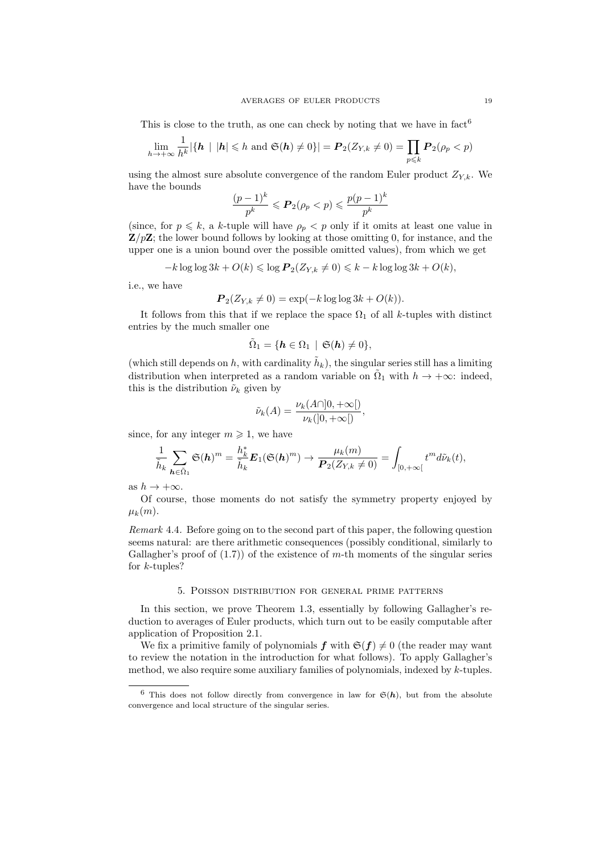This is close to the truth, as one can check by noting that we have in  $fact^6$ 

$$
\lim_{h\to+\infty}\frac{1}{h^k}|\{\mathbf{h} \mid |\mathbf{h}| \leq h \text{ and } \mathfrak{S}(\mathbf{h})\neq 0\}| = \mathbf{P}_2(Z_{Y,k}\neq 0) = \prod_{p\leq k} \mathbf{P}_2(\rho_p < p)
$$

using the almost sure absolute convergence of the random Euler product  $Z_{Y,k}$ . We have the bounds

$$
\frac{(p-1)^k}{p^k} \leqslant \mathbf{P}_2(\rho_p < p) \leqslant \frac{p(p-1)^k}{p^k}
$$

(since, for  $p \leq k$ , a k-tuple will have  $\rho_p$   $\lt p$  only if it omits at least one value in  $\mathbf{Z}/p\mathbf{Z}$ ; the lower bound follows by looking at those omitting 0, for instance, and the upper one is a union bound over the possible omitted values), from which we get

$$
-k \log \log 3k + O(k) \leq \log P_2(Z_{Y,k} \neq 0) \leq k - k \log \log 3k + O(k),
$$

i.e., we have

$$
\boldsymbol{P}_2(Z_{Y,k} \neq 0) = \exp(-k \log \log 3k + O(k)).
$$

It follows from this that if we replace the space  $\Omega_1$  of all k-tuples with distinct entries by the much smaller one

$$
\tilde{\Omega}_1 = \{\boldsymbol{h} \in \Omega_1 \, \mid \, \mathfrak{S}(\boldsymbol{h}) \neq 0\},
$$

(which still depends on h, with cardinality  $\tilde{h}_k$ ), the singular series still has a limiting distribution when interpreted as a random variable on  $\tilde{\Omega}_1$  with  $h \to +\infty$ : indeed, this is the distribution  $\tilde{\nu}_k$  given by

$$
\tilde{\nu}_k(A) = \frac{\nu_k(A \cap ]0, +\infty[)}{\nu_k([0, +\infty[)}
$$

since, for any integer  $m \geq 1$ , we have

$$
\frac{1}{\tilde{h}_k}\sum_{\boldsymbol{h}\in\tilde{\Omega}_1}\mathfrak{S}(\boldsymbol{h})^m=\frac{h_k^*}{\tilde{h}_k}\boldsymbol{E}_1(\mathfrak{S}(\boldsymbol{h})^m)\to \frac{\mu_k(m)}{\boldsymbol{P}_2(Z_{Y,k}\neq 0)}=\int_{[0,+\infty[}t^md\tilde{\nu}_k(t),
$$

as  $h \to +\infty$ .

Of course, those moments do not satisfy the symmetry property enjoyed by  $\mu_k(m)$ .

Remark 4.4. Before going on to the second part of this paper, the following question seems natural: are there arithmetic consequences (possibly conditional, similarly to Gallagher's proof of  $(1.7)$  of the existence of m-th moments of the singular series for  $k$ -tuples?

## 5. Poisson distribution for general prime patterns

In this section, we prove Theorem 1.3, essentially by following Gallagher's reduction to averages of Euler products, which turn out to be easily computable after application of Proposition 2.1.

We fix a primitive family of polynomials  $f$  with  $\mathfrak{S}(f) \neq 0$  (the reader may want to review the notation in the introduction for what follows). To apply Gallagher's method, we also require some auxiliary families of polynomials, indexed by  $k$ -tuples.

<sup>&</sup>lt;sup>6</sup> This does not follow directly from convergence in law for  $\mathfrak{S}(h)$ , but from the absolute convergence and local structure of the singular series.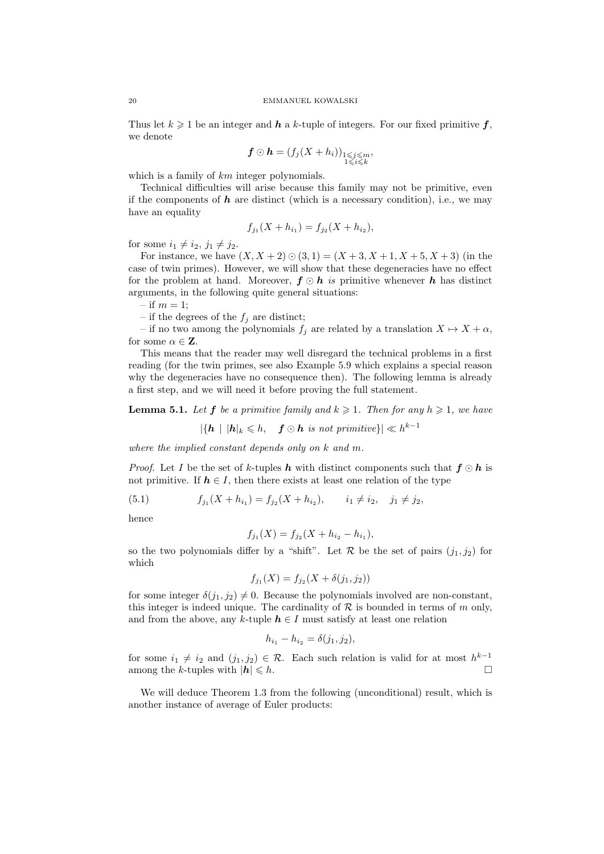Thus let  $k \geq 1$  be an integer and h a k-tuple of integers. For our fixed primitive f, we denote

$$
\boldsymbol{f} \odot \boldsymbol{h} = (f_j(X+h_i))_{\substack{1 \leqslant j \leqslant m \\ 1 \leqslant i \leqslant k}},
$$

which is a family of  $km$  integer polynomials.

Technical difficulties will arise because this family may not be primitive, even if the components of  $h$  are distinct (which is a necessary condition), i.e., we may have an equality

$$
f_{j_1}(X + h_{i_1}) = f_{j_2}(X + h_{i_2}),
$$

for some  $i_1 \neq i_2, j_1 \neq j_2$ .

For instance, we have  $(X, X + 2) \odot (3, 1) = (X + 3, X + 1, X + 5, X + 3)$  (in the case of twin primes). However, we will show that these degeneracies have no effect for the problem at hand. Moreover,  $f \odot h$  is primitive whenever h has distinct arguments, in the following quite general situations:

– if  $m = 1$ ;

– if the degrees of the  $f_j$  are distinct;

– if no two among the polynomials  $f_j$  are related by a translation  $X \mapsto X + \alpha$ , for some  $\alpha \in \mathbf{Z}$ .

This means that the reader may well disregard the technical problems in a first reading (for the twin primes, see also Example 5.9 which explains a special reason why the degeneracies have no consequence then). The following lemma is already a first step, and we will need it before proving the full statement.

**Lemma 5.1.** Let **f** be a primitive family and  $k \ge 1$ . Then for any  $h \ge 1$ , we have

 $|\{\boldsymbol{h} \mid |\boldsymbol{h}|_k \leqslant h, \quad \boldsymbol{f} \odot \boldsymbol{h} \text{ is not primitive}\}| \ll h^{k-1}$ 

where the implied constant depends only on  $k$  and  $m$ .

*Proof.* Let I be the set of k-tuples **h** with distinct components such that  $f \odot h$  is not primitive. If  $h \in I$ , then there exists at least one relation of the type

(5.1) 
$$
f_{j_1}(X + h_{i_1}) = f_{j_2}(X + h_{i_2}), \qquad i_1 \neq i_2, \quad j_1 \neq j_2,
$$

hence

$$
f_{j_1}(X) = f_{j_2}(X + h_{i_2} - h_{i_1}),
$$

so the two polynomials differ by a "shift". Let  $\mathcal R$  be the set of pairs  $(j_1, j_2)$  for which

$$
f_{j_1}(X) = f_{j_2}(X + \delta(j_1, j_2))
$$

for some integer  $\delta(j_1, j_2) \neq 0$ . Because the polynomials involved are non-constant, this integer is indeed unique. The cardinality of  $R$  is bounded in terms of m only, and from the above, any k-tuple  $h \in I$  must satisfy at least one relation

$$
h_{i_1} - h_{i_2} = \delta(j_1, j_2),
$$

for some  $i_1 \neq i_2$  and  $(j_1, j_2) \in \mathcal{R}$ . Each such relation is valid for at most  $h^{k-1}$ among the k-tuples with  $|\mathbf{h}| \leq h$ .

We will deduce Theorem 1.3 from the following (unconditional) result, which is another instance of average of Euler products: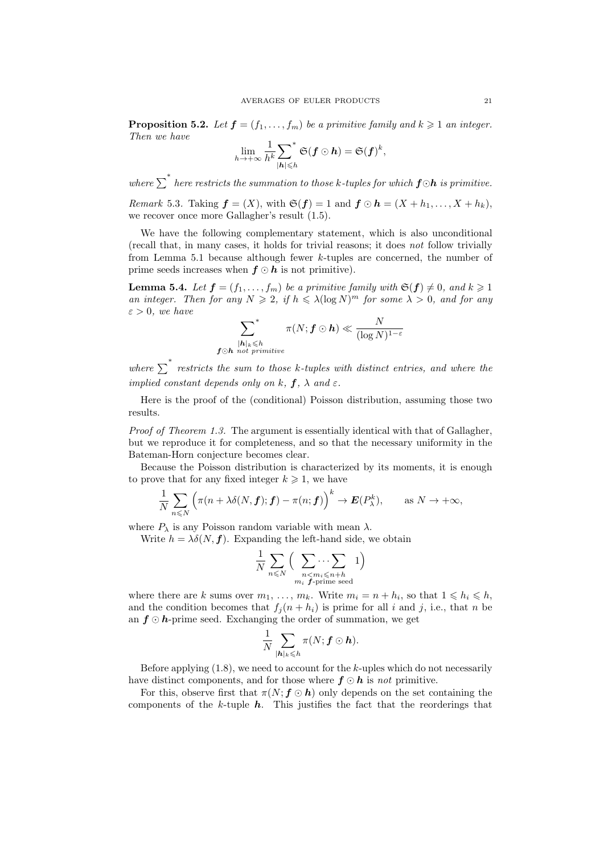**Proposition 5.2.** Let  $f = (f_1, \ldots, f_m)$  be a primitive family and  $k \geq 1$  an integer. Then we have

$$
\lim_{h\to +\infty} \frac{1}{h^k} {\sum_{|\boldsymbol{h}|\leqslant h}}^* \mathfrak{S}(\boldsymbol{f} \odot \boldsymbol{h}) = \mathfrak{S}(\boldsymbol{f})^k,
$$

where  $\sum^*$  here restricts the summation to those k-tuples for which  $\bm{f} \odot \bm{h}$  is primitive.

*Remark* 5.3. Taking  $\boldsymbol{f} = (X)$ , with  $\mathfrak{S}(\boldsymbol{f}) = 1$  and  $\boldsymbol{f} \odot \boldsymbol{h} = (X + h_1, \dots, X + h_k)$ , we recover once more Gallagher's result (1.5).

We have the following complementary statement, which is also unconditional (recall that, in many cases, it holds for trivial reasons; it does not follow trivially from Lemma 5.1 because although fewer k-tuples are concerned, the number of prime seeds increases when  $f \odot h$  is not primitive).

**Lemma 5.4.** Let  $f = (f_1, \ldots, f_m)$  be a primitive family with  $\mathfrak{S}(f) \neq 0$ , and  $k \geq 1$ an integer. Then for any  $N \geq 2$ , if  $h \leq \lambda (\log N)^m$  for some  $\lambda > 0$ , and for any  $\varepsilon > 0$ , we have

$$
\sum_{\substack{|\boldsymbol{h}|_k\leqslant h\\ \boldsymbol{f}\odot\boldsymbol{h}\text{ not primitive}}}^* \pi(N;\boldsymbol{f}\odot\boldsymbol{h})\ll \frac{N}{(\log N)^{1-\varepsilon}}
$$

where  $\sum_{i=1}^{\infty}$  restricts the sum to those k-tuples with distinct entries, and where the implied constant depends only on k,  $f$ ,  $\lambda$  and  $\varepsilon$ .

Here is the proof of the (conditional) Poisson distribution, assuming those two results.

Proof of Theorem 1.3. The argument is essentially identical with that of Gallagher, but we reproduce it for completeness, and so that the necessary uniformity in the Bateman-Horn conjecture becomes clear.

Because the Poisson distribution is characterized by its moments, it is enough to prove that for any fixed integer  $k \geq 1$ , we have

$$
\frac{1}{N}\sum_{n\leqslant N}\Big(\pi(n+\lambda\delta(N,\boldsymbol{f});\boldsymbol{f})-\pi(n;\boldsymbol{f})\Big)^k\to\boldsymbol{E}(P_\lambda^k),\qquad\text{as }N\to+\infty,
$$

where  $P_{\lambda}$  is any Poisson random variable with mean  $\lambda$ .

Write  $h = \lambda \delta(N, f)$ . Expanding the left-hand side, we obtain

$$
\frac{1}{N}\sum_{n\leqslant N}\Big(\sum_{\substack{n< m_i\leqslant n+h\\ m_i~{\bf f}\text{-prime seed}}}1\Big)
$$

where there are k sums over  $m_1, \ldots, m_k$ . Write  $m_i = n + h_i$ , so that  $1 \leq k_i \leq h$ , and the condition becomes that  $f_i(n+h_i)$  is prime for all i and j, i.e., that n be an  $f \odot h$ -prime seed. Exchanging the order of summation, we get

$$
\frac{1}{N}\sum_{|\boldsymbol{h}|_k\leqslant h}\pi(N;\boldsymbol{f}\odot \boldsymbol{h}).
$$

Before applying  $(1.8)$ , we need to account for the k-uples which do not necessarily have distinct components, and for those where  $f \odot h$  is not primitive.

For this, observe first that  $\pi(N; f \odot h)$  only depends on the set containing the components of the  $k$ -tuple  $h$ . This justifies the fact that the reorderings that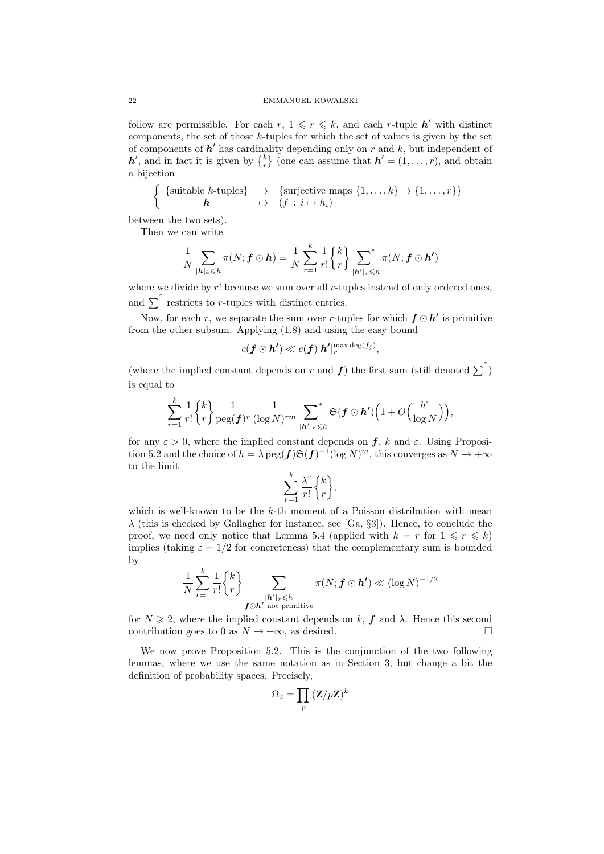follow are permissible. For each  $r, 1 \leqslant r \leqslant k$ , and each r-tuple  $h'$  with distinct components, the set of those  $k$ -tuples for which the set of values is given by the set of components of  $h'$  has cardinality depending only on r and k, but independent of  $h'$ , and in fact it is given by  $\{^k_r\}$  (one can assume that  $h' = (1, \ldots, r)$ , and obtain a bijection

{suitable k-tuples} 
$$
\rightarrow
$$
 {surjective maps  $\{1, ..., k\} \rightarrow \{1, ..., r\}$   

$$
h \qquad \mapsto (f : i \mapsto h_i)
$$

between the two sets).

Then we can write

$$
\frac{1}{N}\sum_{|\boldsymbol{h}|_k\leqslant h}\pi(N;\boldsymbol{f}\odot \boldsymbol{h})=\frac{1}{N}\sum_{r=1}^k\frac{1}{r!}\begin{Bmatrix}k\\r\end{Bmatrix}\sum_{|\boldsymbol{h}'|_r\leqslant h}\pi(N;\boldsymbol{f}\odot \boldsymbol{h}')
$$

where we divide by  $r!$  because we sum over all  $r$ -tuples instead of only ordered ones, and  $\sum^*$  restricts to r-tuples with distinct entries.

Now, for each r, we separate the sum over r-tuples for which  $f \odot h'$  is primitive from the other subsum. Applying (1.8) and using the easy bound

$$
c(\boldsymbol{f} \odot \boldsymbol{h'}) \ll c(\boldsymbol{f}) |\boldsymbol{h'}|_r^{\max \deg(f_j)},
$$

(where the implied constant depends on r and  $f$ ) the first sum (still denoted  $\sum^*$ ) is equal to

$$
\sum_{r=1}^k\frac{1}{r!} \genfrac{\{}{\}}{0pt}{}{k}{r} \frac{1}{\operatorname{peg}(\boldsymbol{f})^r}\frac{1}{(\log N)^{rm}} \sum_{\boldsymbol{|h'|_r\leqslant h}}^{\quad \ *}\mathfrak{S}(\boldsymbol{f}\odot\boldsymbol{h'})\Big(1+O\Big(\frac{h^\varepsilon}{\log N}\Big)\Big),
$$

for any  $\varepsilon > 0$ , where the implied constant depends on  $f$ , k and  $\varepsilon$ . Using Proposition 5.2 and the choice of  $h = \lambda \text{ peg}(f) \mathfrak{S}(f)^{-1} (\log N)^m$ , this converges as  $N \to +\infty$ to the limit

$$
\sum_{r=1}^{k} \frac{\lambda^r}{r!} \begin{Bmatrix} k \\ r \end{Bmatrix},
$$

which is well-known to be the  $k$ -th moment of a Poisson distribution with mean  $\lambda$  (this is checked by Gallagher for instance, see [Ga, §3]). Hence, to conclude the proof, we need only notice that Lemma 5.4 (applied with  $k = r$  for  $1 \leq r \leq k$ ) implies (taking  $\varepsilon = 1/2$  for concreteness) that the complementary sum is bounded by

$$
\frac{1}{N}\sum_{r=1}^k\frac{1}{r!}\begin{Bmatrix}k\\r\end{Bmatrix}\sum_{\substack{\boldsymbol{h}'|_r\leqslant h\\ \boldsymbol{f}\odot\boldsymbol{h}'\text{ not primitive}}}\pi(N;\boldsymbol{f}\odot\boldsymbol{h}')\ll (\log N)^{-1/2}
$$

for  $N \ge 2$ , where the implied constant depends on k, f and  $\lambda$ . Hence this second contribution goes to 0 as  $N \to +\infty$ , as desired.

We now prove Proposition 5.2. This is the conjunction of the two following lemmas, where we use the same notation as in Section 3, but change a bit the definition of probability spaces. Precisely,

$$
\Omega_2 = \prod_p \, (\mathbf{Z}/p\mathbf{Z})^k
$$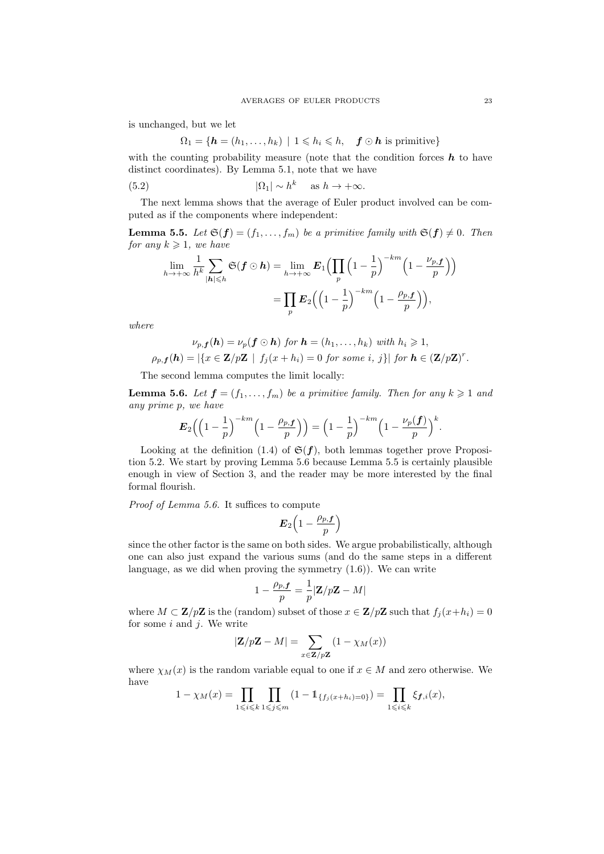is unchanged, but we let

$$
\Omega_1 = \{ \mathbf{h} = (h_1, \dots, h_k) \mid 1 \leqslant h_i \leqslant h, \quad \mathbf{f} \odot \mathbf{h} \text{ is primitive} \}
$$

with the counting probability measure (note that the condition forces  $h$  to have distinct coordinates). By Lemma 5.1, note that we have

(5.2) 
$$
|\Omega_1| \sim h^k \quad \text{as } h \to +\infty.
$$

The next lemma shows that the average of Euler product involved can be computed as if the components where independent:

**Lemma 5.5.** Let  $\mathfrak{S}(\mathbf{f}) = (f_1, \ldots, f_m)$  be a primitive family with  $\mathfrak{S}(\mathbf{f}) \neq 0$ . Then for any  $k \geqslant 1$ , we have

$$
\lim_{h \to +\infty} \frac{1}{h^k} \sum_{|\mathbf{h}| \leq h} \mathfrak{S}(\mathbf{f} \odot \mathbf{h}) = \lim_{h \to +\infty} \mathbf{E}_1 \Big( \prod_p \Big( 1 - \frac{1}{p} \Big)^{-km} \Big( 1 - \frac{\nu_{p,\mathbf{f}}}{p} \Big) \Big)
$$

$$
= \prod_p \mathbf{E}_2 \Big( \Big( 1 - \frac{1}{p} \Big)^{-km} \Big( 1 - \frac{\rho_{p,\mathbf{f}}}{p} \Big) \Big),
$$

where

$$
\nu_{p,\mathbf{f}}(\mathbf{h}) = \nu_p(\mathbf{f} \odot \mathbf{h}) \text{ for } \mathbf{h} = (h_1, \dots, h_k) \text{ with } h_i \geq 1,
$$
  

$$
\rho_{p,\mathbf{f}}(\mathbf{h}) = |\{x \in \mathbf{Z}/p\mathbf{Z} \mid f_j(x+h_i) = 0 \text{ for some } i, j\}| \text{ for } \mathbf{h} \in (\mathbf{Z}/p\mathbf{Z})^r.
$$

The second lemma computes the limit locally:

**Lemma 5.6.** Let  $f = (f_1, \ldots, f_m)$  be a primitive family. Then for any  $k \geq 1$  and any prime p, we have

$$
\boldsymbol{E}_2\Big(\Big(1-\frac{1}{p}\Big)^{-km}\Big(1-\frac{\rho_{p,\boldsymbol{f}}}{p}\Big)\Big)=\Big(1-\frac{1}{p}\Big)^{-km}\Big(1-\frac{\nu_p(\boldsymbol{f})}{p}\Big)^k.
$$

Looking at the definition (1.4) of  $\mathfrak{S}(f)$ , both lemmas together prove Proposition 5.2. We start by proving Lemma 5.6 because Lemma 5.5 is certainly plausible enough in view of Section 3, and the reader may be more interested by the final formal flourish.

Proof of Lemma 5.6. It suffices to compute

$$
\boldsymbol{E}_2\Big(1-\frac{\rho_{p,\boldsymbol{f}}}{p}\Big)
$$

since the other factor is the same on both sides. We argue probabilistically, although one can also just expand the various sums (and do the same steps in a different language, as we did when proving the symmetry (1.6)). We can write

$$
1 - \frac{\rho_{p,\boldsymbol{f}}}{p} = \frac{1}{p} |\mathbf{Z}/p\mathbf{Z} - M|
$$

where  $M \subset \mathbf{Z}/p\mathbf{Z}$  is the (random) subset of those  $x \in \mathbf{Z}/p\mathbf{Z}$  such that  $f_j(x+h_i) = 0$ for some  $i$  and  $j$ . We write

$$
|\mathbf{Z}/p\mathbf{Z} - M| = \sum_{x \in \mathbf{Z}/p\mathbf{Z}} (1 - \chi_M(x))
$$

where  $\chi_M(x)$  is the random variable equal to one if  $x \in M$  and zero otherwise. We have

$$
1 - \chi_M(x) = \prod_{1 \le i \le k} \prod_{1 \le j \le m} (1 - 1_{\{f_j(x+h_i)=0\}}) = \prod_{1 \le i \le k} \xi_{f,i}(x),
$$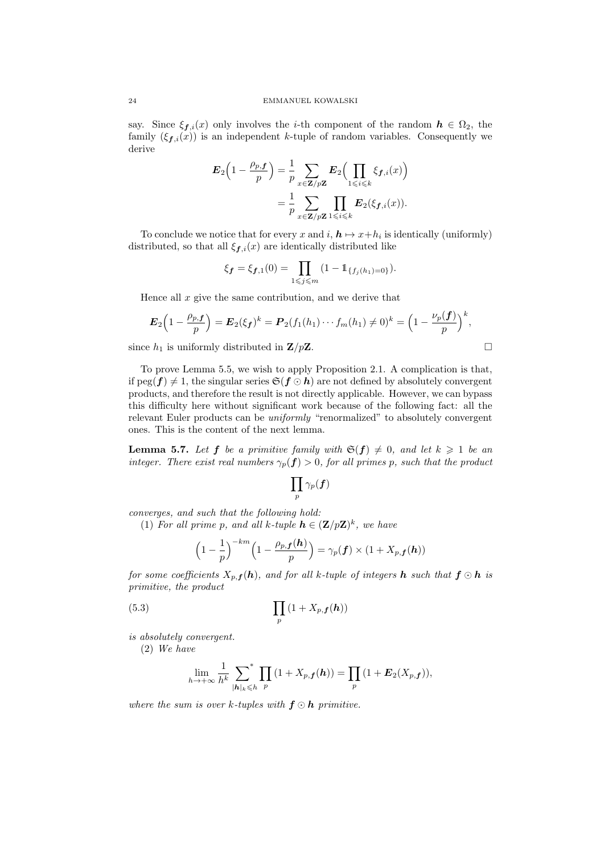say. Since  $\xi_{f,i}(x)$  only involves the *i*-th component of the random  $h \in \Omega_2$ , the family  $(\xi_{f,i}(x))$  is an independent k-tuple of random variables. Consequently we derive

$$
\mathbf{E}_2\left(1-\frac{\rho_{p,f}}{p}\right) = \frac{1}{p} \sum_{x \in \mathbf{Z}/p\mathbf{Z}} \mathbf{E}_2\Big(\prod_{1 \leq i \leq k} \xi_{f,i}(x)\Big)
$$

$$
= \frac{1}{p} \sum_{x \in \mathbf{Z}/p\mathbf{Z}} \prod_{1 \leq i \leq k} \mathbf{E}_2(\xi_{f,i}(x)).
$$

To conclude we notice that for every x and  $i, h \mapsto x+h_i$  is identically (uniformly) distributed, so that all  $\xi_{f,i}(x)$  are identically distributed like

$$
\xi_{\mathbf{f}} = \xi_{\mathbf{f},1}(0) = \prod_{1 \leq j \leq m} (1 - \mathbb{1}_{\{f_j(h_1) = 0\}}).
$$

Hence all  $x$  give the same contribution, and we derive that

$$
\boldsymbol{E}_2\Big(1-\frac{\rho_{p,\boldsymbol{f}}}{p}\Big)=\boldsymbol{E}_2(\xi_{\boldsymbol{f}})^k=\boldsymbol{P}_2(f_1(h_1)\cdots f_m(h_1)\neq 0)^k=\left(1-\frac{\nu_p(\boldsymbol{f})}{p}\right)^k,
$$

since  $h_1$  is uniformly distributed in  $\mathbf{Z}/p\mathbf{Z}$ .

To prove Lemma 5.5, we wish to apply Proposition 2.1. A complication is that, if  $\text{peg}(f) \neq 1$ , the singular series  $\mathfrak{S}(f \odot h)$  are not defined by absolutely convergent products, and therefore the result is not directly applicable. However, we can bypass this difficulty here without significant work because of the following fact: all the relevant Euler products can be uniformly "renormalized" to absolutely convergent ones. This is the content of the next lemma.

**Lemma 5.7.** Let **f** be a primitive family with  $\mathfrak{S}(f) \neq 0$ , and let  $k \geq 1$  be an integer. There exist real numbers  $\gamma_p(f) > 0$ , for all primes p, such that the product

$$
\prod_p \gamma_p(\bm{f})
$$

converges, and such that the following hold:

(1) For all prime p, and all k-tuple  $h \in (\mathbf{Z}/p\mathbf{Z})^k$ , we have

$$
\left(1-\frac{1}{p}\right)^{-km}\left(1-\frac{\rho_{p,\boldsymbol{f}}(\boldsymbol{h})}{p}\right)=\gamma_p(\boldsymbol{f})\times(1+X_{p,\boldsymbol{f}}(\boldsymbol{h}))
$$

for some coefficients  $X_{p,f}(h)$ , and for all k-tuple of integers h such that  $f \odot h$  is primitive, the product

$$
(5.3)\qquad \qquad \prod_{p}(1+X_{p,\boldsymbol{f}}(\boldsymbol{h}))
$$

is absolutely convergent.

(2) We have

$$
\lim_{h\to+\infty}\frac{1}{h^k}\sum_{|\boldsymbol{h}|_k\leqslant h}\prod_p\left(1+X_{p,\boldsymbol{f}}(\boldsymbol{h})\right)=\prod_p\left(1+\boldsymbol{E}_2(X_{p,\boldsymbol{f}})\right),
$$

where the sum is over k-tuples with  $f \odot h$  primitive.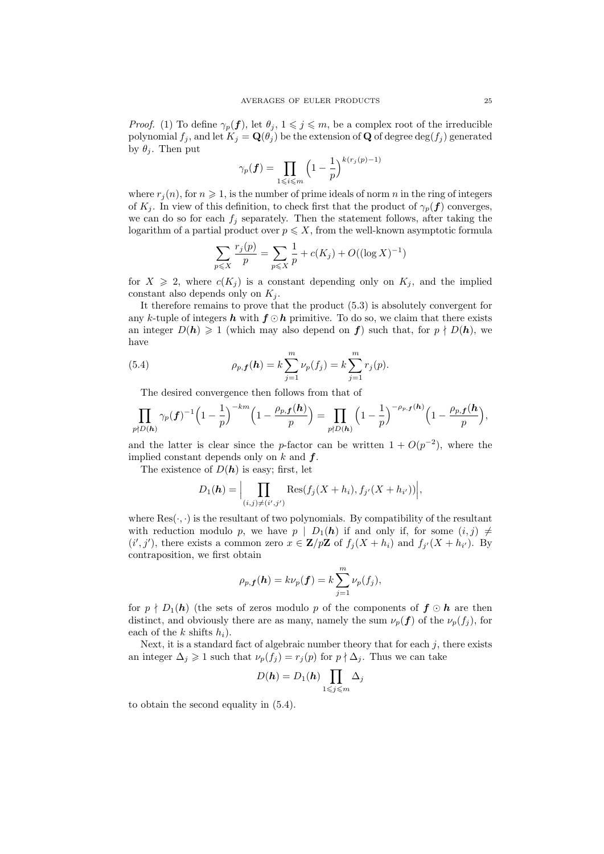*Proof.* (1) To define  $\gamma_p(f)$ , let  $\theta_j$ ,  $1 \leq j \leq m$ , be a complex root of the irreducible polynomial  $f_j$ , and let  $K_j = \mathbf{Q}(\theta_j)$  be the extension of **Q** of degree  $\text{deg}(f_j)$  generated by  $\theta_i$ . Then put

$$
\gamma_p(\boldsymbol{f}) = \prod_{1 \leqslant i \leqslant m} \left(1 - \frac{1}{p}\right)^{k(r_j(p)-1)}
$$

where  $r_j(n)$ , for  $n \geq 1$ , is the number of prime ideals of norm n in the ring of integers of  $K_i$ . In view of this definition, to check first that the product of  $\gamma_p(f)$  converges, we can do so for each  $f_j$  separately. Then the statement follows, after taking the logarithm of a partial product over  $p \leqslant X$ , from the well-known asymptotic formula

$$
\sum_{p \le X} \frac{r_j(p)}{p} = \sum_{p \le X} \frac{1}{p} + c(K_j) + O((\log X)^{-1})
$$

for  $X \geq 2$ , where  $c(K_j)$  is a constant depending only on  $K_j$ , and the implied constant also depends only on  $K_j$ .

It therefore remains to prove that the product (5.3) is absolutely convergent for any k-tuple of integers h with  $f \odot h$  primitive. To do so, we claim that there exists an integer  $D(h) \geq 1$  (which may also depend on f) such that, for  $p \nmid D(h)$ , we have

(5.4) 
$$
\rho_{p,\mathbf{f}}(\mathbf{h}) = k \sum_{j=1}^{m} \nu_p(f_j) = k \sum_{j=1}^{m} r_j(p).
$$

The desired convergence then follows from that of

$$
\prod_{p\nmid D(\boldsymbol{h})}\gamma_p(\boldsymbol{f})^{-1}\Big(1-\frac{1}{p}\Big)^{-km}\Big(1-\frac{\rho_{p,\boldsymbol{f}}(\boldsymbol{h})}{p}\Big)=\prod_{p\nmid D(\boldsymbol{h})}\Big(1-\frac{1}{p}\Big)^{-\rho_{p,\boldsymbol{f}}(\boldsymbol{h})}\Big(1-\frac{\rho_{p,\boldsymbol{f}}(\boldsymbol{h})}{p}\Big),
$$

and the latter is clear since the p-factor can be written  $1 + O(p^{-2})$ , where the implied constant depends only on  $k$  and  $f$ .

The existence of  $D(h)$  is easy; first, let

$$
D_1(\mathbf{h}) = \Big|\prod_{(i,j)\neq (i',j')} \text{Res}(f_j(X+h_i), f_{j'}(X+h_{i'}))\Big|,
$$

where  $\text{Res}(\cdot, \cdot)$  is the resultant of two polynomials. By compatibility of the resultant with reduction modulo p, we have  $p \mid D_1(h)$  if and only if, for some  $(i, j) \neq j$  $(i',j')$ , there exists a common zero  $x \in \mathbf{Z}/p\mathbf{Z}$  of  $f_j(X+h_i)$  and  $f_{j'}(X+h_{i'})$ . By contraposition, we first obtain

$$
\rho_{p,\boldsymbol{f}}(\boldsymbol{h})=k\nu_p(\boldsymbol{f})=k\sum_{j=1}^m\nu_p(f_j),
$$

for  $p \nmid D_1(h)$  (the sets of zeros modulo p of the components of  $f \odot h$  are then distinct, and obviously there are as many, namely the sum  $\nu_p(f)$  of the  $\nu_p(f_i)$ , for each of the k shifts  $h_i$ ).

Next, it is a standard fact of algebraic number theory that for each  $j$ , there exists an integer  $\Delta_j \geq 1$  such that  $\nu_p(f_j) = r_j(p)$  for  $p \nmid \Delta_j$ . Thus we can take

$$
D(\boldsymbol{h})=D_1(\boldsymbol{h})\prod_{1\leqslant j\leqslant m}\Delta_j
$$

to obtain the second equality in (5.4).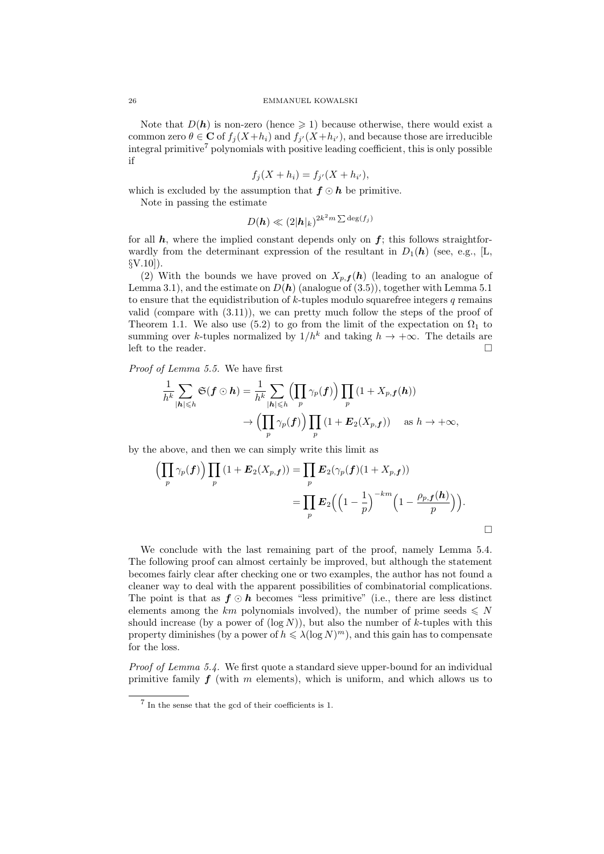Note that  $D(h)$  is non-zero (hence  $\geq 1$ ) because otherwise, there would exist a common zero  $\theta \in \mathbf{C}$  of  $f_j(X+h_i)$  and  $f_{j'}(X+h_{i'})$ , and because those are irreducible integral primitive<sup>7</sup> polynomials with positive leading coefficient, this is only possible if

$$
f_j(X+h_i) = f_{j'}(X+h_{i'}),
$$

which is excluded by the assumption that  $f \odot h$  be primitive.

Note in passing the estimate

$$
D(\bm{h}) \ll (2|\bm{h}|_k)^{2k^2m\sum \deg(f_j)}
$$

for all  $h$ , where the implied constant depends only on  $f$ ; this follows straightforwardly from the determinant expression of the resultant in  $D_1(h)$  (see, e.g., [L, §V.10]).

(2) With the bounds we have proved on  $X_{p,f}(h)$  (leading to an analogue of Lemma 3.1), and the estimate on  $D(h)$  (analogue of (3.5)), together with Lemma 5.1 to ensure that the equidistribution of  $k$ -tuples modulo squarefree integers q remains valid (compare with  $(3.11)$ ), we can pretty much follow the steps of the proof of Theorem 1.1. We also use (5.2) to go from the limit of the expectation on  $\Omega_1$  to summing over k-tuples normalized by  $1/h^k$  and taking  $h \to +\infty$ . The details are left to the reader.  $\hfill\Box$ 

Proof of Lemma 5.5. We have first

$$
\frac{1}{h^k} \sum_{|\mathbf{h}| \leq h} \mathfrak{S}(\mathbf{f} \odot \mathbf{h}) = \frac{1}{h^k} \sum_{|\mathbf{h}| \leq h} \left( \prod_p \gamma_p(\mathbf{f}) \right) \prod_p (1 + X_{p,\mathbf{f}}(\mathbf{h}))
$$

$$
\rightarrow \left( \prod_p \gamma_p(\mathbf{f}) \right) \prod_p (1 + \mathbf{E}_2(X_{p,\mathbf{f}})) \quad \text{as } h \rightarrow +\infty,
$$

by the above, and then we can simply write this limit as

$$
\left(\prod_{p} \gamma_{p}(\boldsymbol{f})\right) \prod_{p} \left(1 + \boldsymbol{E}_{2}(X_{p,\boldsymbol{f}})\right) = \prod_{p} \boldsymbol{E}_{2}(\gamma_{p}(\boldsymbol{f})(1 + X_{p,\boldsymbol{f}}))
$$

$$
= \prod_{p} \boldsymbol{E}_{2}\Big(\Big(1 - \frac{1}{p}\Big)^{-km} \Big(1 - \frac{\rho_{p,\boldsymbol{f}}(\boldsymbol{h})}{p}\Big)\Big).
$$

We conclude with the last remaining part of the proof, namely Lemma 5.4. The following proof can almost certainly be improved, but although the statement becomes fairly clear after checking one or two examples, the author has not found a cleaner way to deal with the apparent possibilities of combinatorial complications. The point is that as  $f \odot h$  becomes "less primitive" (i.e., there are less distinct elements among the km polynomials involved), the number of prime seeds  $\leq N$ should increase (by a power of  $(\log N)$ ), but also the number of k-tuples with this property diminishes (by a power of  $h \leq \lambda (\log N)^m$ ), and this gain has to compensate for the loss.

Proof of Lemma 5.4. We first quote a standard sieve upper-bound for an individual primitive family  $f$  (with m elements), which is uniform, and which allows us to

<sup>7</sup> In the sense that the gcd of their coefficients is 1.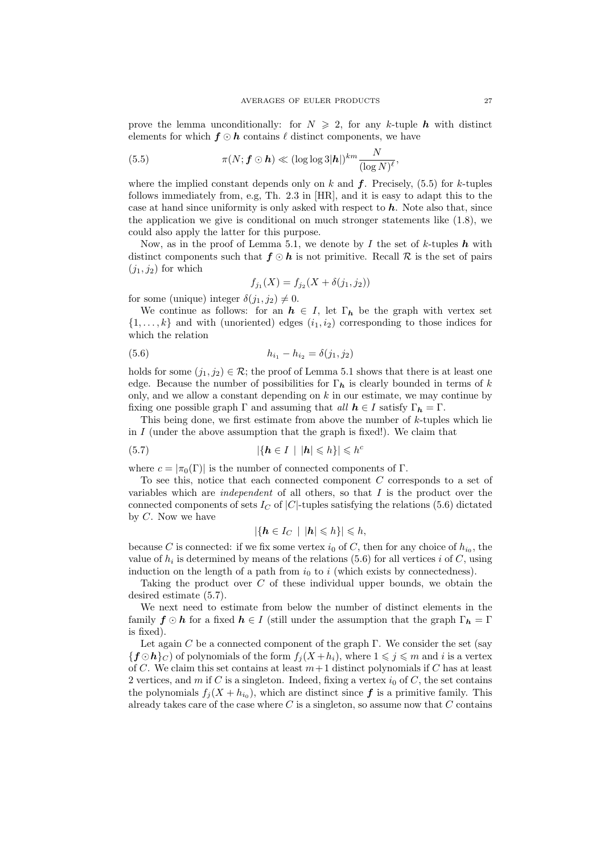prove the lemma unconditionally: for  $N \geq 2$ , for any k-tuple h with distinct elements for which  $f \odot h$  contains  $\ell$  distinct components, we have

(5.5) 
$$
\pi(N; \mathbf{f} \odot \mathbf{h}) \ll (\log \log 3 |\mathbf{h}|)^{km} \frac{N}{(\log N)^{\ell}},
$$

where the implied constant depends only on k and  $f$ . Precisely, (5.5) for k-tuples follows immediately from, e.g, Th. 2.3 in [HR], and it is easy to adapt this to the case at hand since uniformity is only asked with respect to  $h$ . Note also that, since the application we give is conditional on much stronger statements like (1.8), we could also apply the latter for this purpose.

Now, as in the proof of Lemma 5.1, we denote by I the set of k-tuples  $h$  with distinct components such that  $f \odot h$  is not primitive. Recall R is the set of pairs  $(j_1, j_2)$  for which

$$
f_{j_1}(X) = f_{j_2}(X + \delta(j_1, j_2))
$$

for some (unique) integer  $\delta(j_1, j_2) \neq 0$ .

We continue as follows: for an  $h \in I$ , let  $\Gamma_h$  be the graph with vertex set  $\{1, \ldots, k\}$  and with (unoriented) edges  $(i_1, i_2)$  corresponding to those indices for which the relation

(5.6) 
$$
h_{i_1} - h_{i_2} = \delta(j_1, j_2)
$$

holds for some  $(j_1, j_2) \in \mathcal{R}$ ; the proof of Lemma 5.1 shows that there is at least one edge. Because the number of possibilities for  $\Gamma_h$  is clearly bounded in terms of k only, and we allow a constant depending on  $k$  in our estimate, we may continue by fixing one possible graph  $\Gamma$  and assuming that all  $h \in I$  satisfy  $\Gamma_h = \Gamma$ .

This being done, we first estimate from above the number of k-tuples which lie in  $I$  (under the above assumption that the graph is fixed!). We claim that

$$
(5.7) \t\t\t |\{h \in I \mid |h| \leqslant h\}| \leqslant h^c
$$

where  $c = |\pi_0(\Gamma)|$  is the number of connected components of  $\Gamma$ .

To see this, notice that each connected component C corresponds to a set of variables which are *independent* of all others, so that  $I$  is the product over the connected components of sets  $I_C$  of  $|C|$ -tuples satisfying the relations (5.6) dictated by C. Now we have

$$
|\{\mathbf{h}\in I_C\,\mid\,|\mathbf{h}|\leqslant h\}|\leqslant h,
$$

because C is connected: if we fix some vertex  $i_0$  of C, then for any choice of  $h_{i_0}$ , the value of  $h_i$  is determined by means of the relations (5.6) for all vertices i of C, using induction on the length of a path from  $i_0$  to i (which exists by connectedness).

Taking the product over C of these individual upper bounds, we obtain the desired estimate (5.7).

We next need to estimate from below the number of distinct elements in the family  $f \odot h$  for a fixed  $h \in I$  (still under the assumption that the graph  $\Gamma_h = \Gamma$ is fixed).

Let again C be a connected component of the graph  $\Gamma$ . We consider the set (say  ${f \odot h}_{C}$  of polynomials of the form  $f_i(X+h_i)$ , where  $1 \leq i \leq m$  and i is a vertex of C. We claim this set contains at least  $m+1$  distinct polynomials if C has at least 2 vertices, and m if C is a singleton. Indeed, fixing a vertex  $i_0$  of C, the set contains the polynomials  $f_j(X + h_{i_0})$ , which are distinct since  $f$  is a primitive family. This already takes care of the case where  $C$  is a singleton, so assume now that  $C$  contains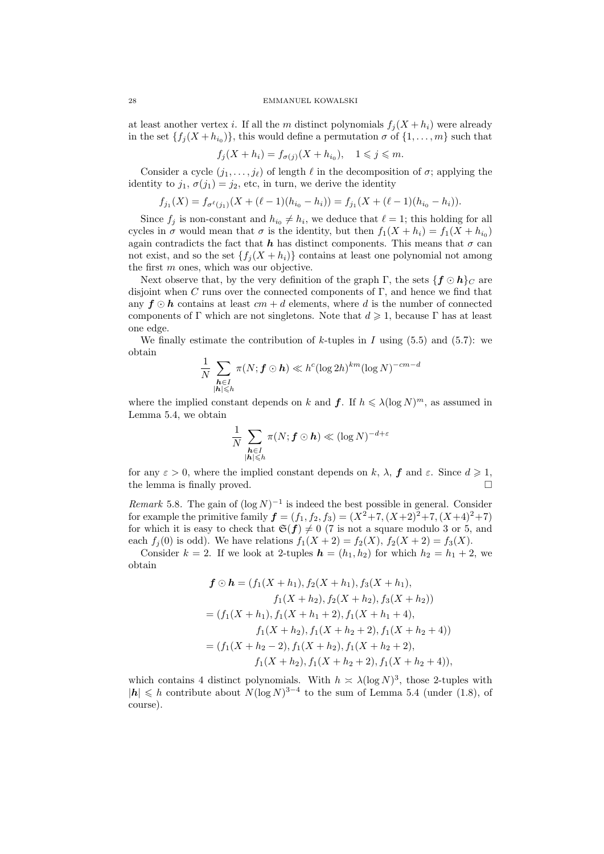at least another vertex i. If all the m distinct polynomials  $f_i(X+h_i)$  were already in the set  $\{f_j(X+h_{i_0})\}$ , this would define a permutation  $\sigma$  of  $\{1,\ldots,m\}$  such that

$$
f_j(X+h_i) = f_{\sigma(j)}(X+h_{i_0}), \quad 1 \leqslant j \leqslant m.
$$

Consider a cycle  $(j_1, \ldots, j_\ell)$  of length  $\ell$  in the decomposition of  $\sigma$ ; applying the identity to  $j_1, \sigma(j_1) = j_2$ , etc, in turn, we derive the identity

$$
f_{j_1}(X) = f_{\sigma^{\ell}(j_1)}(X + (\ell - 1)(h_{i_0} - h_i)) = f_{j_1}(X + (\ell - 1)(h_{i_0} - h_i)).
$$

Since  $f_j$  is non-constant and  $h_{i_0} \neq h_i$ , we deduce that  $\ell = 1$ ; this holding for all cycles in  $\sigma$  would mean that  $\sigma$  is the identity, but then  $f_1(X + h_i) = f_1(X + h_{i_0})$ again contradicts the fact that h has distinct components. This means that  $\sigma$  can not exist, and so the set  $\{f_i(X+h_i)\}\)$  contains at least one polynomial not among the first m ones, which was our objective.

Next observe that, by the very definition of the graph  $\Gamma$ , the sets  $\{f \odot h\}_C$  are disjoint when C runs over the connected components of  $\Gamma$ , and hence we find that any  $f \odot h$  contains at least  $cm + d$  elements, where d is the number of connected components of Γ which are not singletons. Note that  $d \geq 1$ , because Γ has at least one edge.

We finally estimate the contribution of  $k$ -tuples in  $I$  using (5.5) and (5.7): we obtain

$$
\frac{1}{N} \sum_{\substack{\mathbf{h} \in I \\ |\mathbf{h}| \leq h}} \pi(N; \mathbf{f} \odot \mathbf{h}) \ll h^c (\log 2h)^{km} (\log N)^{-cm-d}
$$

where the implied constant depends on k and  $f$ . If  $h \leq \lambda (\log N)^m$ , as assumed in Lemma 5.4, we obtain

$$
\frac{1}{N}\sum_{\substack{\boldsymbol{h}\in I\\ |\boldsymbol{h}|\leqslant h}}\pi(N;\boldsymbol{f}\odot\boldsymbol{h})\ll (\log N)^{-d+\varepsilon}
$$

for any  $\varepsilon > 0$ , where the implied constant depends on k,  $\lambda$ , f and  $\varepsilon$ . Since  $d \geq 1$ , the lemma is finally proved.

Remark 5.8. The gain of  $(\log N)^{-1}$  is indeed the best possible in general. Consider for example the primitive family  $f = (f_1, f_2, f_3) = (X^2 + 7, (X + 2)^2 + 7, (X + 4)^2 + 7)$ for which it is easy to check that  $\mathfrak{S}(f) \neq 0$  (7 is not a square modulo 3 or 5, and each  $f_j(0)$  is odd). We have relations  $f_1(X + 2) = f_2(X), f_2(X + 2) = f_3(X)$ .

Consider  $k = 2$ . If we look at 2-tuples  $h = (h_1, h_2)$  for which  $h_2 = h_1 + 2$ , we obtain

$$
\mathbf{f} \odot \mathbf{h} = (f_1(X + h_1), f_2(X + h_1), f_3(X + h_1),\nf_1(X + h_2), f_2(X + h_2), f_3(X + h_2))
$$
  
=  $(f_1(X + h_1), f_1(X + h_1 + 2), f_1(X + h_1 + 4),\nf_1(X + h_2), f_1(X + h_2 + 2), f_1(X + h_2 + 4))$   
=  $(f_1(X + h_2 - 2), f_1(X + h_2), f_1(X + h_2 + 2),\nf_1(X + h_2), f_1(X + h_2 + 2), f_1(X + h_2 + 4)),$ 

which contains 4 distinct polynomials. With  $h \approx \lambda (\log N)^3$ , those 2-tuples with |h| ≤ h contribute about  $N(\log N)^{3-4}$  to the sum of Lemma 5.4 (under (1.8), of course).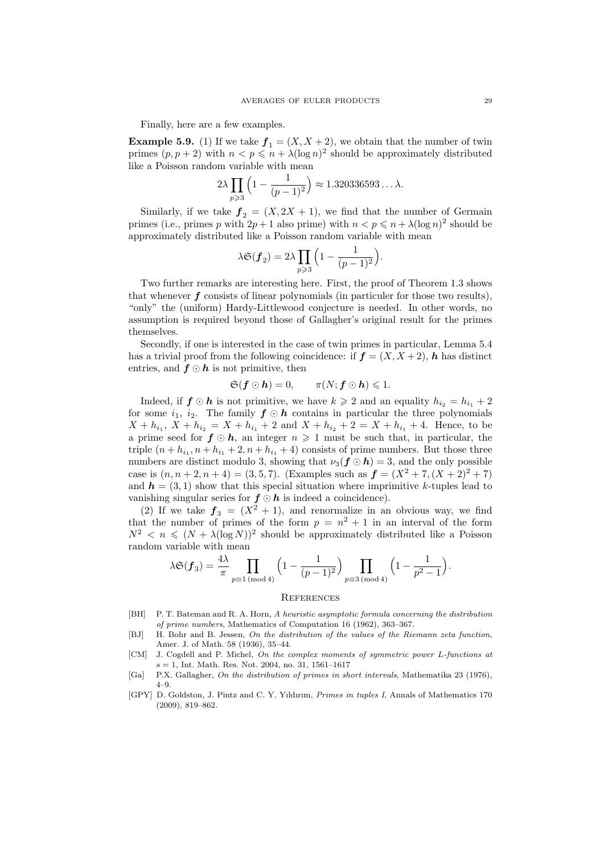Finally, here are a few examples.

**Example 5.9.** (1) If we take  $f_1 = (X, X + 2)$ , we obtain that the number of twin primes  $(p, p+2)$  with  $n < p \leq n + \lambda(\log n)^2$  should be approximately distributed like a Poisson random variable with mean

$$
2\lambda \prod_{p\geqslant 3} \left(1 - \frac{1}{(p-1)^2}\right) \approx 1.320336593\ldots\lambda.
$$

Similarly, if we take  $f_2 = (X, 2X + 1)$ , we find that the number of Germain primes (i.e., primes p with  $2p + 1$  also prime) with  $n < p \leq n + \lambda (\log n)^2$  should be approximately distributed like a Poisson random variable with mean

$$
\lambda \mathfrak{S}(\pmb{f}_2) = 2 \lambda \prod_{p \geqslant 3} \Big( 1 - \frac{1}{(p-1)^2} \Big).
$$

Two further remarks are interesting here. First, the proof of Theorem 1.3 shows that whenever  $f$  consists of linear polynomials (in particuler for those two results), "only" the (uniform) Hardy-Littlewood conjecture is needed. In other words, no assumption is required beyond those of Gallagher's original result for the primes themselves.

Secondly, if one is interested in the case of twin primes in particular, Lemma 5.4 has a trivial proof from the following coincidence: if  $f = (X, X + 2)$ , h has distinct entries, and  $f \odot h$  is not primitive, then

$$
\mathfrak{S}(\mathbf{f}\odot\mathbf{h})=0,\qquad \pi(N;\mathbf{f}\odot\mathbf{h})\leqslant 1.
$$

Indeed, if  $f \odot h$  is not primitive, we have  $k \geqslant 2$  and an equality  $h_{i_2} = h_{i_1} + 2$ for some  $i_1$ ,  $i_2$ . The family  $f \odot h$  contains in particular the three polynomials  $X + h_{i_1}$ ,  $X + h_{i_2} = X + h_{i_1} + 2$  and  $X + h_{i_2} + 2 = X + h_{i_1} + 4$ . Hence, to be a prime seed for  $f \odot h$ , an integer  $n \geq 1$  must be such that, in particular, the triple  $(n + h_{i_1}, n + h_{i_1} + 2, n + h_{i_1} + 4)$  consists of prime numbers. But those three numbers are distinct modulo 3, showing that  $\nu_3(f \odot h) = 3$ , and the only possible case is  $(n, n+2, n+4) = (3, 5, 7)$ . (Examples such as  $f = (X^2 + 7, (X + 2)^2 + 7)$ and  $h = (3, 1)$  show that this special situation where imprimitive k-tuples lead to vanishing singular series for  $f \odot h$  is indeed a coincidence).

(2) If we take  $f_3 = (X^2 + 1)$ , and renormalize in an obvious way, we find that the number of primes of the form  $p = n^2 + 1$  in an interval of the form  $N^2 < n \leq (N + \lambda(\log N))^2$  should be approximately distributed like a Poisson random variable with mean

$$
\lambda \mathfrak{S}(\bm{f}_3) = \frac{4\lambda}{\pi} \prod_{p \equiv 1 \pmod{4}} \left(1 - \frac{1}{(p-1)^2}\right) \prod_{p \equiv 3 \pmod{4}} \left(1 - \frac{1}{p^2 - 1}\right).
$$

### **REFERENCES**

- [BH] P. T. Bateman and R. A. Horn, A heuristic asymptotic formula concerning the distribution of prime numbers, Mathematics of Computation 16 (1962), 363–367.
- [BJ] H. Bohr and B. Jessen, On the distribution of the values of the Riemann zeta function, Amer. J. of Math. 58 (1936), 35–44.
- [CM] J. Cogdell and P. Michel, On the complex moments of symmetric power L-functions at  $s = 1$ , Int. Math. Res. Not. 2004, no. 31, 1561-1617
- [Ga] P.X. Gallagher, On the distribution of primes in short intervals, Mathematika 23 (1976), 4–9.
- [GPY] D. Goldston, J. Pintz and C. Y. Yıldırım, Primes in tuples I, Annals of Mathematics 170 (2009), 819–862.